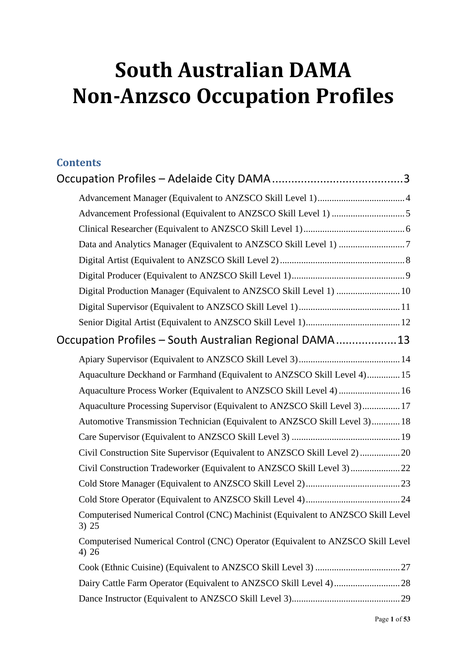# **South Australian DAMA Non-Anzsco Occupation Profiles**

### **Contents**

| Digital Production Manager (Equivalent to ANZSCO Skill Level 1)  10                       |
|-------------------------------------------------------------------------------------------|
|                                                                                           |
|                                                                                           |
| Occupation Profiles - South Australian Regional DAMA13                                    |
|                                                                                           |
| Aquaculture Deckhand or Farmhand (Equivalent to ANZSCO Skill Level 4) 15                  |
| Aquaculture Process Worker (Equivalent to ANZSCO Skill Level 4)  16                       |
| Aquaculture Processing Supervisor (Equivalent to ANZSCO Skill Level 3) 17                 |
| Automotive Transmission Technician (Equivalent to ANZSCO Skill Level 3) 18                |
|                                                                                           |
| Civil Construction Site Supervisor (Equivalent to ANZSCO Skill Level 2)  20               |
|                                                                                           |
|                                                                                           |
|                                                                                           |
| Computerised Numerical Control (CNC) Machinist (Equivalent to ANZSCO Skill Level<br>3) 25 |
| Computerised Numerical Control (CNC) Operator (Equivalent to ANZSCO Skill Level<br>4) 26  |
|                                                                                           |
|                                                                                           |
|                                                                                           |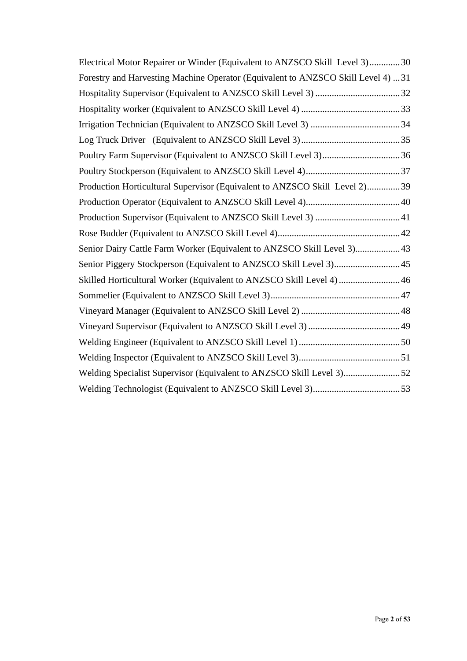<span id="page-1-0"></span>

| Electrical Motor Repairer or Winder (Equivalent to ANZSCO Skill Level 3)30       |  |
|----------------------------------------------------------------------------------|--|
| Forestry and Harvesting Machine Operator (Equivalent to ANZSCO Skill Level 4) 31 |  |
|                                                                                  |  |
|                                                                                  |  |
|                                                                                  |  |
|                                                                                  |  |
|                                                                                  |  |
|                                                                                  |  |
| Production Horticultural Supervisor (Equivalent to ANZSCO Skill Level 2)39       |  |
|                                                                                  |  |
|                                                                                  |  |
|                                                                                  |  |
| Senior Dairy Cattle Farm Worker (Equivalent to ANZSCO Skill Level 3) 43          |  |
| Senior Piggery Stockperson (Equivalent to ANZSCO Skill Level 3) 45               |  |
| Skilled Horticultural Worker (Equivalent to ANZSCO Skill Level 4)  46            |  |
|                                                                                  |  |
|                                                                                  |  |
|                                                                                  |  |
|                                                                                  |  |
|                                                                                  |  |
| Welding Specialist Supervisor (Equivalent to ANZSCO Skill Level 3)52             |  |
|                                                                                  |  |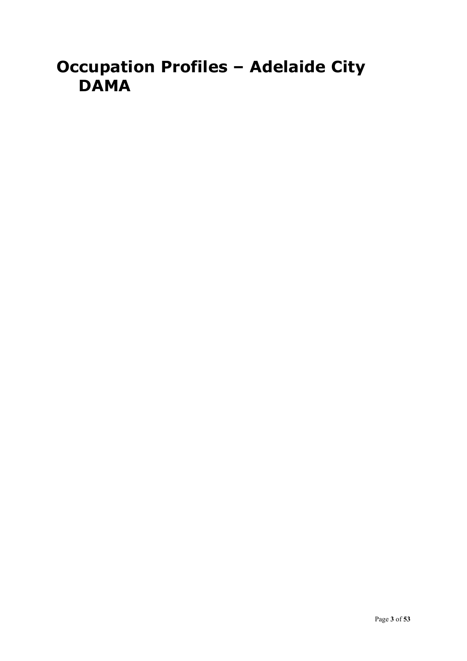## **Occupation Profiles – Adelaide City DAMA**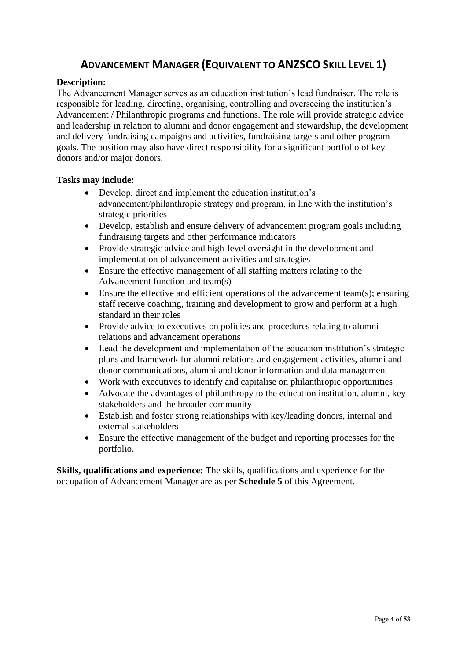### **ADVANCEMENT MANAGER (EQUIVALENT TO ANZSCO SKILL LEVEL 1)**

### <span id="page-3-0"></span>**Description:**

The Advancement Manager serves as an education institution's lead fundraiser. The role is responsible for leading, directing, organising, controlling and overseeing the institution's Advancement / Philanthropic programs and functions. The role will provide strategic advice and leadership in relation to alumni and donor engagement and stewardship, the development and delivery fundraising campaigns and activities, fundraising targets and other program goals. The position may also have direct responsibility for a significant portfolio of key donors and/or major donors.

### **Tasks may include:**

- Develop, direct and implement the education institution's advancement/philanthropic strategy and program, in line with the institution's strategic priorities
- Develop, establish and ensure delivery of advancement program goals including fundraising targets and other performance indicators
- Provide strategic advice and high-level oversight in the development and implementation of advancement activities and strategies
- Ensure the effective management of all staffing matters relating to the Advancement function and team(s)
- Ensure the effective and efficient operations of the advancement team(s); ensuring staff receive coaching, training and development to grow and perform at a high standard in their roles
- Provide advice to executives on policies and procedures relating to alumni relations and advancement operations
- Lead the development and implementation of the education institution's strategic plans and framework for alumni relations and engagement activities, alumni and donor communications, alumni and donor information and data management
- Work with executives to identify and capitalise on philanthropic opportunities
- Advocate the advantages of philanthropy to the education institution, alumni, key stakeholders and the broader community
- Establish and foster strong relationships with key/leading donors, internal and external stakeholders
- Ensure the effective management of the budget and reporting processes for the portfolio.

**Skills, qualifications and experience:** The skills, qualifications and experience for the occupation of Advancement Manager are as per **Schedule 5** of this Agreement.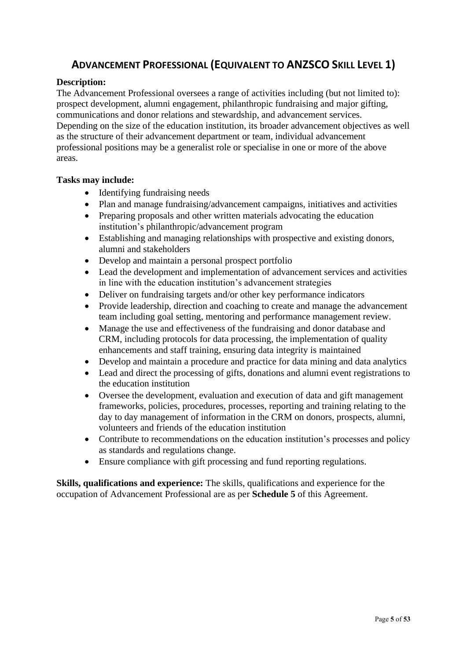### <span id="page-4-0"></span>**ADVANCEMENT PROFESSIONAL (EQUIVALENT TO ANZSCO SKILL LEVEL 1)**

### **Description:**

The Advancement Professional oversees a range of activities including (but not limited to): prospect development, alumni engagement, philanthropic fundraising and major gifting, communications and donor relations and stewardship, and advancement services. Depending on the size of the education institution, its broader advancement objectives as well as the structure of their advancement department or team, individual advancement professional positions may be a generalist role or specialise in one or more of the above areas.

### **Tasks may include:**

- Identifying fundraising needs
- Plan and manage fundraising/advancement campaigns, initiatives and activities
- Preparing proposals and other written materials advocating the education institution's philanthropic/advancement program
- Establishing and managing relationships with prospective and existing donors, alumni and stakeholders
- Develop and maintain a personal prospect portfolio
- Lead the development and implementation of advancement services and activities in line with the education institution's advancement strategies
- Deliver on fundraising targets and/or other key performance indicators
- Provide leadership, direction and coaching to create and manage the advancement team including goal setting, mentoring and performance management review.
- Manage the use and effectiveness of the fundraising and donor database and CRM, including protocols for data processing, the implementation of quality enhancements and staff training, ensuring data integrity is maintained
- Develop and maintain a procedure and practice for data mining and data analytics
- Lead and direct the processing of gifts, donations and alumni event registrations to the education institution
- Oversee the development, evaluation and execution of data and gift management frameworks, policies, procedures, processes, reporting and training relating to the day to day management of information in the CRM on donors, prospects, alumni, volunteers and friends of the education institution
- Contribute to recommendations on the education institution's processes and policy as standards and regulations change.
- Ensure compliance with gift processing and fund reporting regulations.

**Skills, qualifications and experience:** The skills, qualifications and experience for the occupation of Advancement Professional are as per **Schedule 5** of this Agreement.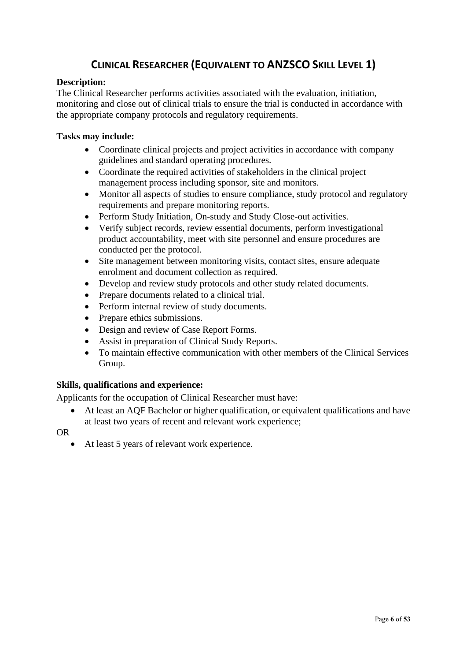### **CLINICAL RESEARCHER (EQUIVALENT TO ANZSCO SKILL LEVEL 1)**

### <span id="page-5-0"></span>**Description:**

The Clinical Researcher performs activities associated with the evaluation, initiation, monitoring and close out of clinical trials to ensure the trial is conducted in accordance with the appropriate company protocols and regulatory requirements.

### **Tasks may include:**

- Coordinate clinical projects and project activities in accordance with company guidelines and standard operating procedures.
- Coordinate the required activities of stakeholders in the clinical project management process including sponsor, site and monitors.
- Monitor all aspects of studies to ensure compliance, study protocol and regulatory requirements and prepare monitoring reports.
- Perform Study Initiation, On-study and Study Close-out activities.
- Verify subject records, review essential documents, perform investigational product accountability, meet with site personnel and ensure procedures are conducted per the protocol.
- Site management between monitoring visits, contact sites, ensure adequate enrolment and document collection as required.
- Develop and review study protocols and other study related documents.
- Prepare documents related to a clinical trial.
- Perform internal review of study documents.
- Prepare ethics submissions.
- Design and review of Case Report Forms.
- Assist in preparation of Clinical Study Reports.
- To maintain effective communication with other members of the Clinical Services Group.

### **Skills, qualifications and experience:**

Applicants for the occupation of Clinical Researcher must have:

• At least an AQF Bachelor or higher qualification, or equivalent qualifications and have at least two years of recent and relevant work experience;

OR

• At least 5 years of relevant work experience.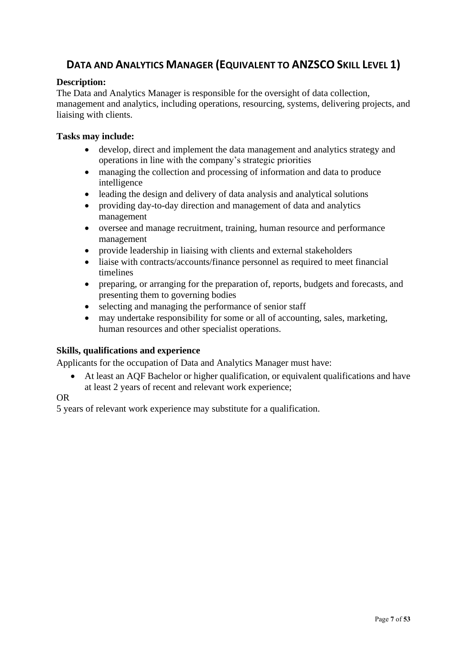### <span id="page-6-0"></span>**DATA AND ANALYTICS MANAGER (EQUIVALENT TO ANZSCO SKILL LEVEL 1)**

### **Description:**

The Data and Analytics Manager is responsible for the oversight of data collection, management and analytics, including operations, resourcing, systems, delivering projects, and liaising with clients.

### **Tasks may include:**

- develop, direct and implement the data management and analytics strategy and operations in line with the company's strategic priorities
- managing the collection and processing of information and data to produce intelligence
- leading the design and delivery of data analysis and analytical solutions
- providing day-to-day direction and management of data and analytics management
- oversee and manage recruitment, training, human resource and performance management
- provide leadership in liaising with clients and external stakeholders
- liaise with contracts/accounts/finance personnel as required to meet financial timelines
- preparing, or arranging for the preparation of, reports, budgets and forecasts, and presenting them to governing bodies
- selecting and managing the performance of senior staff
- may undertake responsibility for some or all of accounting, sales, marketing, human resources and other specialist operations.

### **Skills, qualifications and experience**

Applicants for the occupation of Data and Analytics Manager must have:

• At least an AQF Bachelor or higher qualification, or equivalent qualifications and have at least 2 years of recent and relevant work experience;

### OR

5 years of relevant work experience may substitute for a qualification.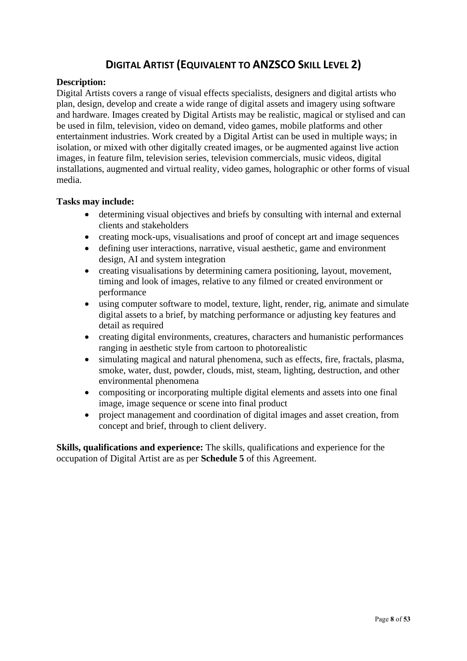### **DIGITAL ARTIST (EQUIVALENT TO ANZSCO SKILL LEVEL 2)**

### <span id="page-7-0"></span>**Description:**

Digital Artists covers a range of visual effects specialists, designers and digital artists who plan, design, develop and create a wide range of digital assets and imagery using software and hardware. Images created by Digital Artists may be realistic, magical or stylised and can be used in film, television, video on demand, video games, mobile platforms and other entertainment industries. Work created by a Digital Artist can be used in multiple ways; in isolation, or mixed with other digitally created images, or be augmented against live action images, in feature film, television series, television commercials, music videos, digital installations, augmented and virtual reality, video games, holographic or other forms of visual media.

### **Tasks may include:**

- determining visual objectives and briefs by consulting with internal and external clients and stakeholders
- creating mock-ups, visualisations and proof of concept art and image sequences
- defining user interactions, narrative, visual aesthetic, game and environment design, AI and system integration
- creating visualisations by determining camera positioning, layout, movement, timing and look of images, relative to any filmed or created environment or performance
- using computer software to model, texture, light, render, rig, animate and simulate digital assets to a brief, by matching performance or adjusting key features and detail as required
- creating digital environments, creatures, characters and humanistic performances ranging in aesthetic style from cartoon to photorealistic
- simulating magical and natural phenomena, such as effects, fire, fractals, plasma, smoke, water, dust, powder, clouds, mist, steam, lighting, destruction, and other environmental phenomena
- compositing or incorporating multiple digital elements and assets into one final image, image sequence or scene into final product
- project management and coordination of digital images and asset creation, from concept and brief, through to client delivery.

**Skills, qualifications and experience:** The skills, qualifications and experience for the occupation of Digital Artist are as per **Schedule 5** of this Agreement.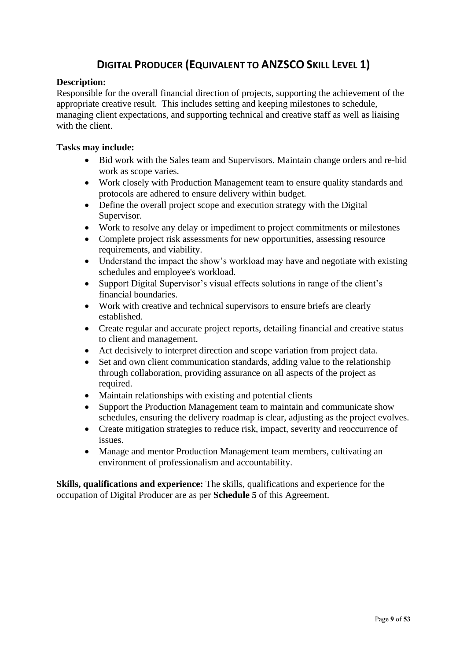### **DIGITAL PRODUCER (EQUIVALENT TO ANZSCO SKILL LEVEL 1)**

### <span id="page-8-0"></span>**Description:**

Responsible for the overall financial direction of projects, supporting the achievement of the appropriate creative result. This includes setting and keeping milestones to schedule, managing client expectations, and supporting technical and creative staff as well as liaising with the client.

### **Tasks may include:**

- Bid work with the Sales team and Supervisors. Maintain change orders and re-bid work as scope varies.
- Work closely with Production Management team to ensure quality standards and protocols are adhered to ensure delivery within budget.
- Define the overall project scope and execution strategy with the Digital Supervisor.
- Work to resolve any delay or impediment to project commitments or milestones
- Complete project risk assessments for new opportunities, assessing resource requirements, and viability.
- Understand the impact the show's workload may have and negotiate with existing schedules and employee's workload.
- Support Digital Supervisor's visual effects solutions in range of the client's financial boundaries.
- Work with creative and technical supervisors to ensure briefs are clearly established.
- Create regular and accurate project reports, detailing financial and creative status to client and management.
- Act decisively to interpret direction and scope variation from project data.
- Set and own client communication standards, adding value to the relationship through collaboration, providing assurance on all aspects of the project as required.
- Maintain relationships with existing and potential clients
- Support the Production Management team to maintain and communicate show schedules, ensuring the delivery roadmap is clear, adjusting as the project evolves.
- Create mitigation strategies to reduce risk, impact, severity and reoccurrence of issues.
- Manage and mentor Production Management team members, cultivating an environment of professionalism and accountability.

**Skills, qualifications and experience:** The skills, qualifications and experience for the occupation of Digital Producer are as per **Schedule 5** of this Agreement.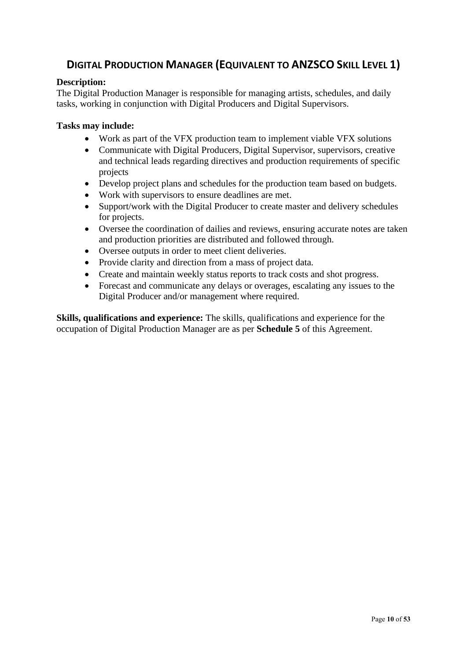### <span id="page-9-0"></span>**DIGITAL PRODUCTION MANAGER (EQUIVALENT TO ANZSCO SKILL LEVEL 1)**

### **Description:**

The Digital Production Manager is responsible for managing artists, schedules, and daily tasks, working in conjunction with Digital Producers and Digital Supervisors.

#### **Tasks may include:**

- Work as part of the VFX production team to implement viable VFX solutions
- Communicate with Digital Producers, Digital Supervisor, supervisors, creative and technical leads regarding directives and production requirements of specific projects
- Develop project plans and schedules for the production team based on budgets.
- Work with supervisors to ensure deadlines are met.
- Support/work with the Digital Producer to create master and delivery schedules for projects.
- Oversee the coordination of dailies and reviews, ensuring accurate notes are taken and production priorities are distributed and followed through.
- Oversee outputs in order to meet client deliveries.
- Provide clarity and direction from a mass of project data.
- Create and maintain weekly status reports to track costs and shot progress.
- Forecast and communicate any delays or overages, escalating any issues to the Digital Producer and/or management where required.

**Skills, qualifications and experience:** The skills, qualifications and experience for the occupation of Digital Production Manager are as per **Schedule 5** of this Agreement.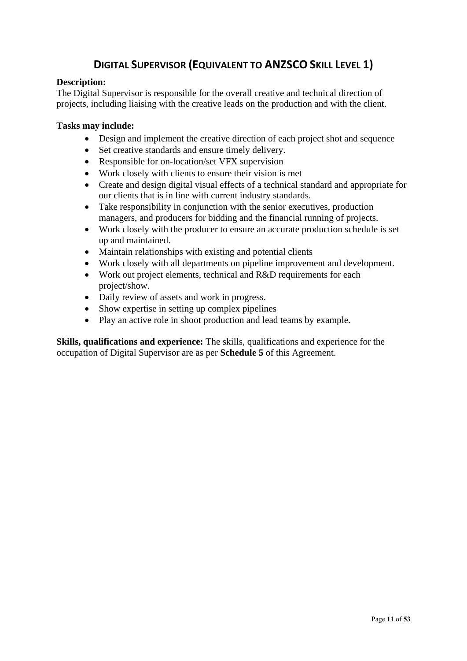### **DIGITAL SUPERVISOR (EQUIVALENT TO ANZSCO SKILL LEVEL 1)**

### <span id="page-10-0"></span>**Description:**

The Digital Supervisor is responsible for the overall creative and technical direction of projects, including liaising with the creative leads on the production and with the client.

### **Tasks may include:**

- Design and implement the creative direction of each project shot and sequence
- Set creative standards and ensure timely delivery.
- Responsible for on-location/set VFX supervision
- Work closely with clients to ensure their vision is met
- Create and design digital visual effects of a technical standard and appropriate for our clients that is in line with current industry standards.
- Take responsibility in conjunction with the senior executives, production managers, and producers for bidding and the financial running of projects.
- Work closely with the producer to ensure an accurate production schedule is set up and maintained.
- Maintain relationships with existing and potential clients
- Work closely with all departments on pipeline improvement and development.
- Work out project elements, technical and R&D requirements for each project/show.
- Daily review of assets and work in progress.
- Show expertise in setting up complex pipelines
- Play an active role in shoot production and lead teams by example.

**Skills, qualifications and experience:** The skills, qualifications and experience for the occupation of Digital Supervisor are as per **Schedule 5** of this Agreement.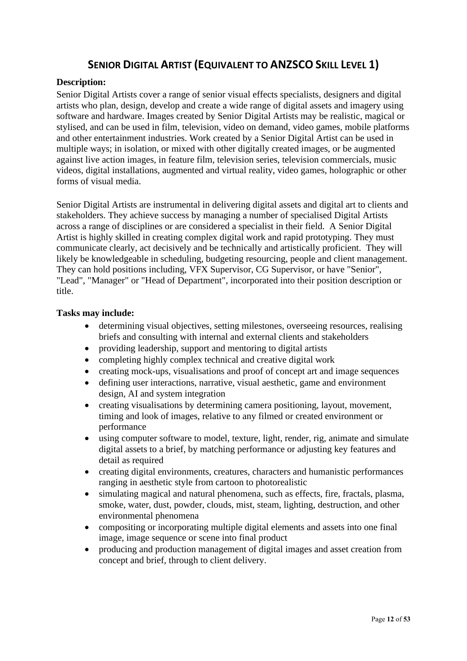### **SENIOR DIGITAL ARTIST (EQUIVALENT TO ANZSCO SKILL LEVEL 1)**

### <span id="page-11-0"></span>**Description:**

Senior Digital Artists cover a range of senior visual effects specialists, designers and digital artists who plan, design, develop and create a wide range of digital assets and imagery using software and hardware. Images created by Senior Digital Artists may be realistic, magical or stylised, and can be used in film, television, video on demand, video games, mobile platforms and other entertainment industries. Work created by a Senior Digital Artist can be used in multiple ways; in isolation, or mixed with other digitally created images, or be augmented against live action images, in feature film, television series, television commercials, music videos, digital installations, augmented and virtual reality, video games, holographic or other forms of visual media.

Senior Digital Artists are instrumental in delivering digital assets and digital art to clients and stakeholders. They achieve success by managing a number of specialised Digital Artists across a range of disciplines or are considered a specialist in their field. A Senior Digital Artist is highly skilled in creating complex digital work and rapid prototyping. They must communicate clearly, act decisively and be technically and artistically proficient. They will likely be knowledgeable in scheduling, budgeting resourcing, people and client management. They can hold positions including, VFX Supervisor, CG Supervisor, or have "Senior", "Lead", "Manager" or "Head of Department", incorporated into their position description or title.

#### **Tasks may include:**

- determining visual objectives, setting milestones, overseeing resources, realising briefs and consulting with internal and external clients and stakeholders
- providing leadership, support and mentoring to digital artists
- completing highly complex technical and creative digital work
- creating mock-ups, visualisations and proof of concept art and image sequences
- defining user interactions, narrative, visual aesthetic, game and environment design, AI and system integration
- creating visualisations by determining camera positioning, layout, movement, timing and look of images, relative to any filmed or created environment or performance
- using computer software to model, texture, light, render, rig, animate and simulate digital assets to a brief, by matching performance or adjusting key features and detail as required
- creating digital environments, creatures, characters and humanistic performances ranging in aesthetic style from cartoon to photorealistic
- simulating magical and natural phenomena, such as effects, fire, fractals, plasma, smoke, water, dust, powder, clouds, mist, steam, lighting, destruction, and other environmental phenomena
- compositing or incorporating multiple digital elements and assets into one final image, image sequence or scene into final product
- producing and production management of digital images and asset creation from concept and brief, through to client delivery.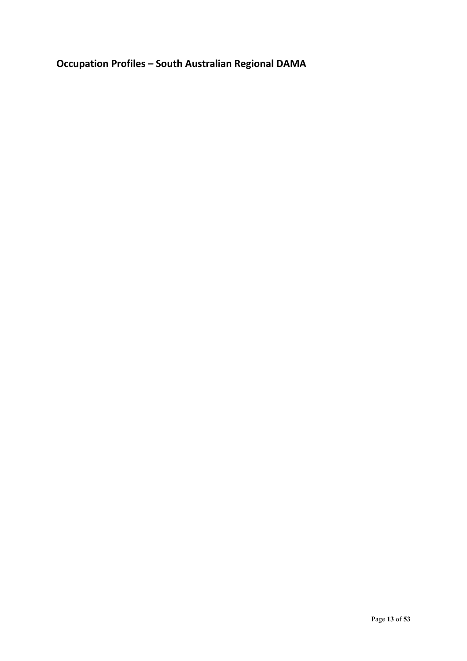<span id="page-12-0"></span>**Occupation Profiles – South Australian Regional DAMA**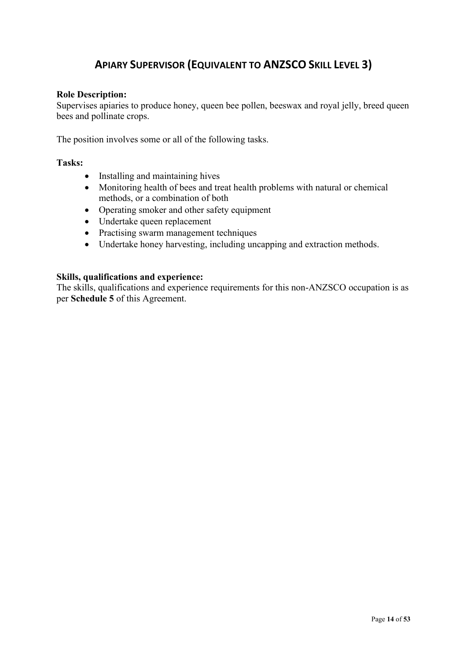### **APIARY SUPERVISOR (EQUIVALENT TO ANZSCO SKILL LEVEL 3)**

#### <span id="page-13-0"></span>**Role Description:**

Supervises apiaries to produce honey, queen bee pollen, beeswax and royal jelly, breed queen bees and pollinate crops.

The position involves some or all of the following tasks.

### **Tasks:**

- Installing and maintaining hives
- Monitoring health of bees and treat health problems with natural or chemical methods, or a combination of both
- Operating smoker and other safety equipment
- Undertake queen replacement
- Practising swarm management techniques
- Undertake honey harvesting, including uncapping and extraction methods.

### **Skills, qualifications and experience:**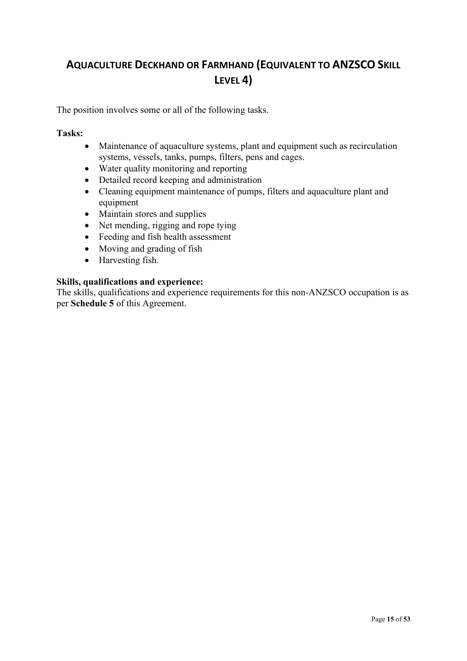### <span id="page-14-0"></span>**AQUACULTURE DECKHAND OR FARMHAND (EQUIVALENT TO ANZSCO SKILL LEVEL 4)**

The position involves some or all of the following tasks.

### **Tasks:**

- Maintenance of aquaculture systems, plant and equipment such as recirculation systems, vessels, tanks, pumps, filters, pens and cages.
- Water quality monitoring and reporting
- Detailed record keeping and administration
- Cleaning equipment maintenance of pumps, filters and aquaculture plant and equipment
- Maintain stores and supplies
- Net mending, rigging and rope tying
- Feeding and fish health assessment
- Moving and grading of fish
- Harvesting fish.

### **Skills, qualifications and experience:**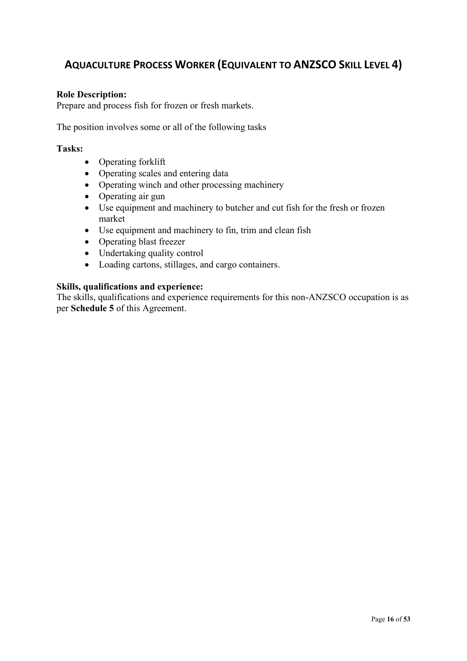### <span id="page-15-0"></span>**AQUACULTURE PROCESS WORKER (EQUIVALENT TO ANZSCO SKILL LEVEL 4)**

### **Role Description:**

Prepare and process fish for frozen or fresh markets.

The position involves some or all of the following tasks

#### **Tasks:**

- Operating forklift
- Operating scales and entering data
- Operating winch and other processing machinery
- Operating air gun
- Use equipment and machinery to butcher and cut fish for the fresh or frozen market
- Use equipment and machinery to fin, trim and clean fish
- Operating blast freezer
- Undertaking quality control
- Loading cartons, stillages, and cargo containers.

#### **Skills, qualifications and experience:**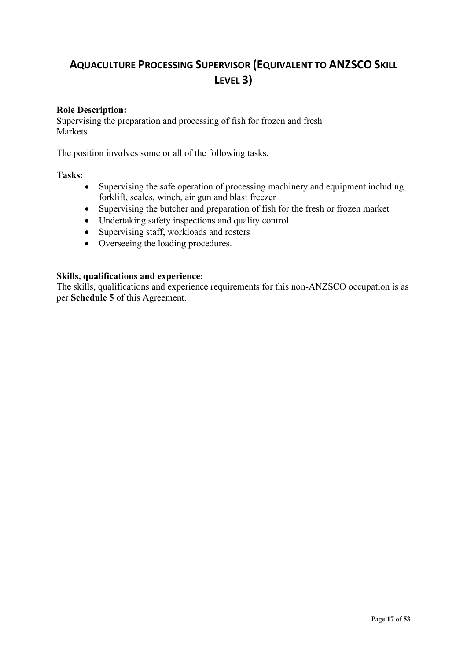### <span id="page-16-0"></span>**AQUACULTURE PROCESSING SUPERVISOR (EQUIVALENT TO ANZSCO SKILL LEVEL 3)**

### **Role Description:**

Supervising the preparation and processing of fish for frozen and fresh Markets.

The position involves some or all of the following tasks.

#### **Tasks:**

- Supervising the safe operation of processing machinery and equipment including forklift, scales, winch, air gun and blast freezer
- Supervising the butcher and preparation of fish for the fresh or frozen market
- Undertaking safety inspections and quality control
- Supervising staff, workloads and rosters
- Overseeing the loading procedures.

#### **Skills, qualifications and experience:**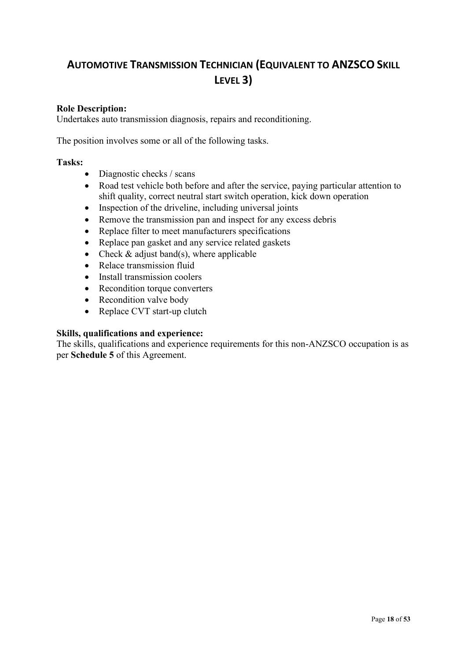### <span id="page-17-0"></span>**AUTOMOTIVE TRANSMISSION TECHNICIAN (EQUIVALENT TO ANZSCO SKILL LEVEL 3)**

### **Role Description:**

Undertakes auto transmission diagnosis, repairs and reconditioning.

The position involves some or all of the following tasks.

### **Tasks:**

- Diagnostic checks / scans
- Road test vehicle both before and after the service, paying particular attention to shift quality, correct neutral start switch operation, kick down operation
- Inspection of the driveline, including universal joints
- Remove the transmission pan and inspect for any excess debris
- Replace filter to meet manufacturers specifications
- Replace pan gasket and any service related gaskets
- Check  $&$  adjust band(s), where applicable
- Relace transmission fluid
- Install transmission coolers
- Recondition torque converters
- Recondition valve body
- Replace CVT start-up clutch

### **Skills, qualifications and experience:**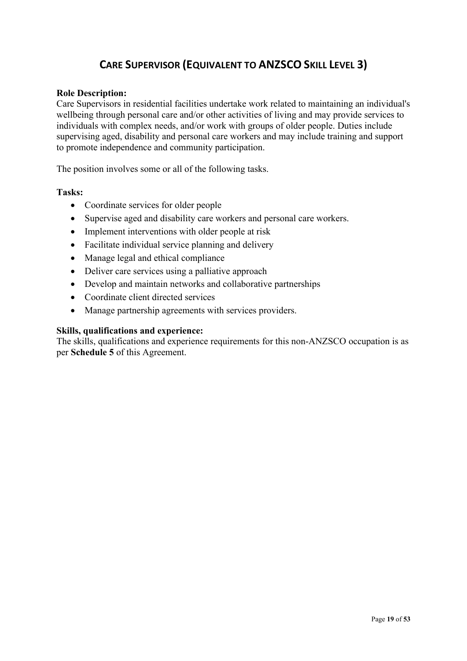### **CARE SUPERVISOR (EQUIVALENT TO ANZSCO SKILL LEVEL 3)**

### <span id="page-18-0"></span>**Role Description:**

Care Supervisors in residential facilities undertake work related to maintaining an individual's wellbeing through personal care and/or other activities of living and may provide services to individuals with complex needs, and/or work with groups of older people. Duties include supervising aged, disability and personal care workers and may include training and support to promote independence and community participation.

The position involves some or all of the following tasks.

### **Tasks:**

- Coordinate services for older people
- Supervise aged and disability care workers and personal care workers.
- Implement interventions with older people at risk
- Facilitate individual service planning and delivery
- Manage legal and ethical compliance
- Deliver care services using a palliative approach
- Develop and maintain networks and collaborative partnerships
- Coordinate client directed services
- Manage partnership agreements with services providers.

### **Skills, qualifications and experience:**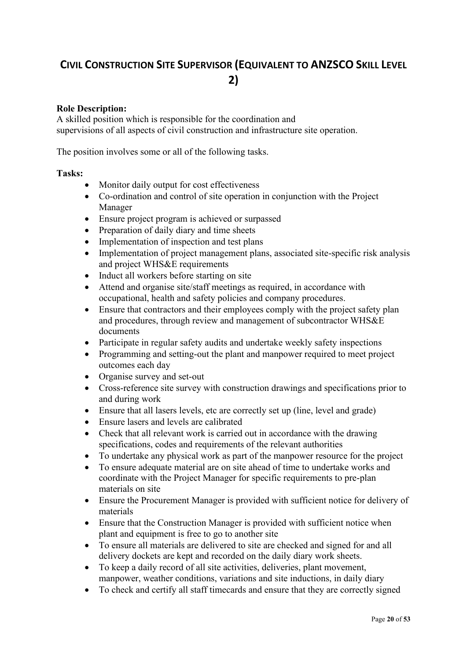### <span id="page-19-0"></span>**CIVIL CONSTRUCTION SITE SUPERVISOR (EQUIVALENT TO ANZSCO SKILL LEVEL 2)**

### **Role Description:**

A skilled position which is responsible for the coordination and supervisions of all aspects of civil construction and infrastructure site operation.

The position involves some or all of the following tasks.

### **Tasks:**

- Monitor daily output for cost effectiveness
- Co-ordination and control of site operation in conjunction with the Project Manager
- Ensure project program is achieved or surpassed
- Preparation of daily diary and time sheets
- Implementation of inspection and test plans
- Implementation of project management plans, associated site-specific risk analysis and project WHS&E requirements
- Induct all workers before starting on site
- Attend and organise site/staff meetings as required, in accordance with occupational, health and safety policies and company procedures.
- Ensure that contractors and their employees comply with the project safety plan and procedures, through review and management of subcontractor WHS&E documents
- Participate in regular safety audits and undertake weekly safety inspections
- Programming and setting-out the plant and manpower required to meet project outcomes each day
- Organise survey and set-out
- Cross-reference site survey with construction drawings and specifications prior to and during work
- Ensure that all lasers levels, etc are correctly set up (line, level and grade)
- Ensure lasers and levels are calibrated
- Check that all relevant work is carried out in accordance with the drawing specifications, codes and requirements of the relevant authorities
- To undertake any physical work as part of the manpower resource for the project
- To ensure adequate material are on site ahead of time to undertake works and coordinate with the Project Manager for specific requirements to pre-plan materials on site
- Ensure the Procurement Manager is provided with sufficient notice for delivery of materials
- Ensure that the Construction Manager is provided with sufficient notice when plant and equipment is free to go to another site
- To ensure all materials are delivered to site are checked and signed for and all delivery dockets are kept and recorded on the daily diary work sheets.
- To keep a daily record of all site activities, deliveries, plant movement, manpower, weather conditions, variations and site inductions, in daily diary
- To check and certify all staff timecards and ensure that they are correctly signed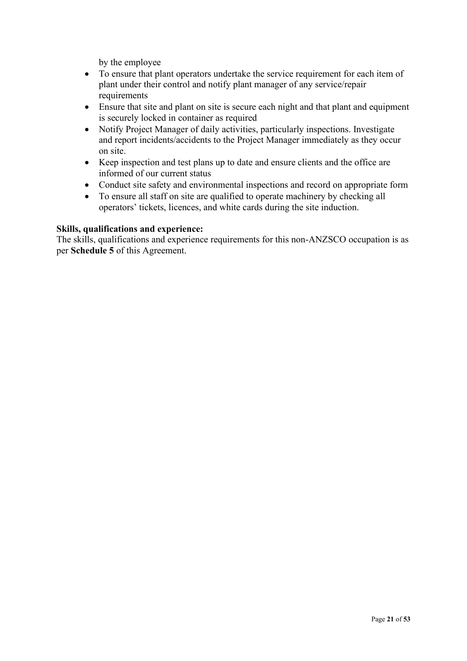by the employee

- To ensure that plant operators undertake the service requirement for each item of plant under their control and notify plant manager of any service/repair requirements
- Ensure that site and plant on site is secure each night and that plant and equipment is securely locked in container as required
- Notify Project Manager of daily activities, particularly inspections. Investigate and report incidents/accidents to the Project Manager immediately as they occur on site.
- Keep inspection and test plans up to date and ensure clients and the office are informed of our current status
- Conduct site safety and environmental inspections and record on appropriate form
- To ensure all staff on site are qualified to operate machinery by checking all operators' tickets, licences, and white cards during the site induction.

#### **Skills, qualifications and experience:**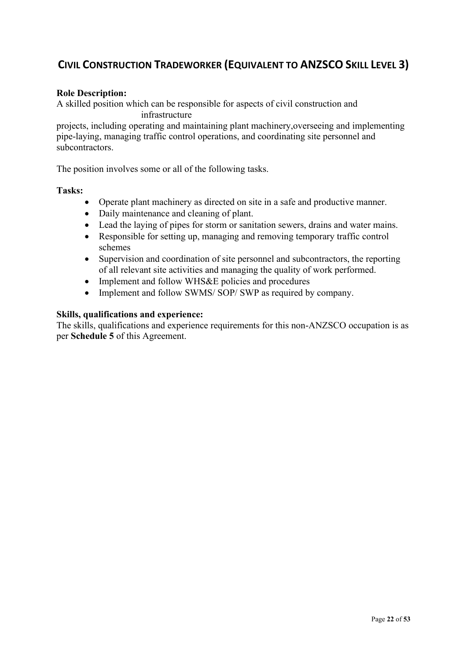### <span id="page-21-0"></span>**CIVIL CONSTRUCTION TRADEWORKER (EQUIVALENT TO ANZSCO SKILL LEVEL 3)**

### **Role Description:**

A skilled position which can be responsible for aspects of civil construction and infrastructure

projects, including operating and maintaining plant machinery,overseeing and implementing pipe-laying, managing traffic control operations, and coordinating site personnel and subcontractors.

The position involves some or all of the following tasks.

#### **Tasks:**

- Operate plant machinery as directed on site in a safe and productive manner.
- Daily maintenance and cleaning of plant.
- Lead the laying of pipes for storm or sanitation sewers, drains and water mains.
- Responsible for setting up, managing and removing temporary traffic control schemes
- Supervision and coordination of site personnel and subcontractors, the reporting of all relevant site activities and managing the quality of work performed.
- Implement and follow WHS&E policies and procedures
- Implement and follow SWMS/ SOP/ SWP as required by company.

#### **Skills, qualifications and experience:**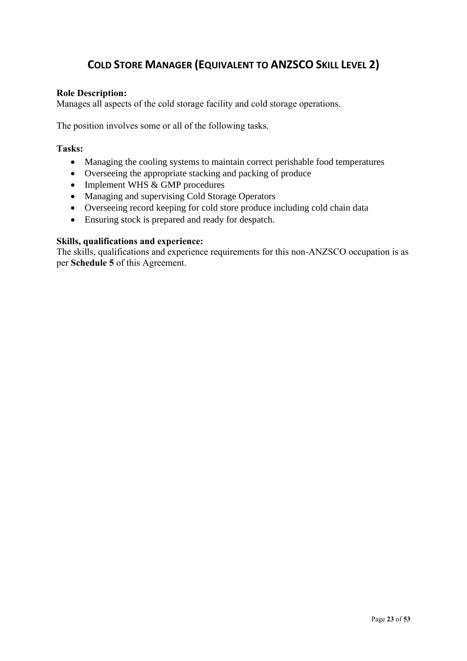### **COLD STORE MANAGER (EQUIVALENT TO ANZSCO SKILL LEVEL 2)**

### <span id="page-22-0"></span>**Role Description:**

Manages all aspects of the cold storage facility and cold storage operations.

The position involves some or all of the following tasks.

### **Tasks:**

- Managing the cooling systems to maintain correct perishable food temperatures
- Overseeing the appropriate stacking and packing of produce
- Implement WHS & GMP procedures
- Managing and supervising Cold Storage Operators
- Overseeing record keeping for cold store produce including cold chain data
- Ensuring stock is prepared and ready for despatch.

### **Skills, qualifications and experience:**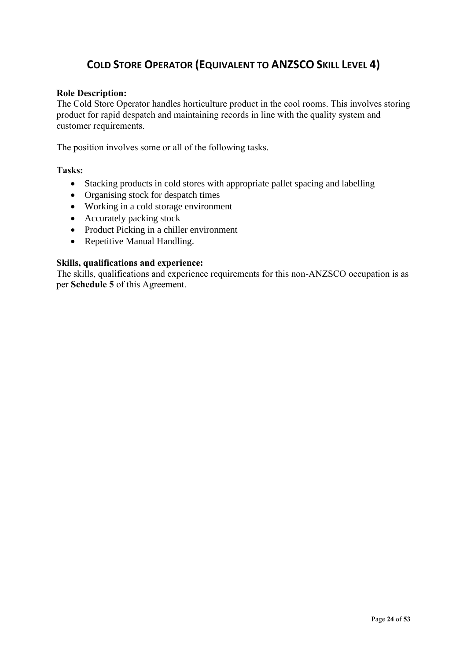### **COLD STORE OPERATOR (EQUIVALENT TO ANZSCO SKILL LEVEL 4)**

### <span id="page-23-0"></span>**Role Description:**

The Cold Store Operator handles horticulture product in the cool rooms. This involves storing product for rapid despatch and maintaining records in line with the quality system and customer requirements.

The position involves some or all of the following tasks.

### **Tasks:**

- Stacking products in cold stores with appropriate pallet spacing and labelling
- Organising stock for despatch times
- Working in a cold storage environment
- Accurately packing stock
- Product Picking in a chiller environment
- Repetitive Manual Handling.

#### **Skills, qualifications and experience:**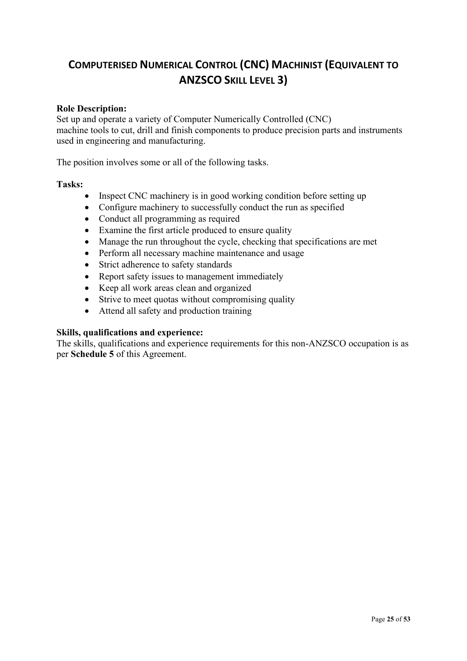### <span id="page-24-0"></span>**COMPUTERISED NUMERICAL CONTROL (CNC) MACHINIST (EQUIVALENT TO ANZSCO SKILL LEVEL 3)**

### **Role Description:**

Set up and operate a variety of Computer Numerically Controlled (CNC) machine tools to cut, drill and finish components to produce precision parts and instruments used in engineering and manufacturing.

The position involves some or all of the following tasks.

### **Tasks:**

- Inspect CNC machinery is in good working condition before setting up
- Configure machinery to successfully conduct the run as specified
- Conduct all programming as required
- Examine the first article produced to ensure quality
- Manage the run throughout the cycle, checking that specifications are met
- Perform all necessary machine maintenance and usage
- Strict adherence to safety standards
- Report safety issues to management immediately
- Keep all work areas clean and organized
- Strive to meet quotas without compromising quality
- Attend all safety and production training

### **Skills, qualifications and experience:**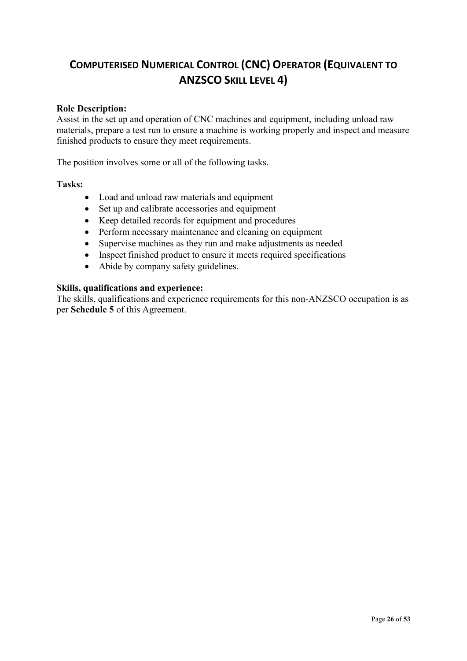### <span id="page-25-0"></span>**COMPUTERISED NUMERICAL CONTROL (CNC) OPERATOR (EQUIVALENT TO ANZSCO SKILL LEVEL 4)**

### **Role Description:**

Assist in the set up and operation of CNC machines and equipment, including unload raw materials, prepare a test run to ensure a machine is working properly and inspect and measure finished products to ensure they meet requirements.

The position involves some or all of the following tasks.

#### **Tasks:**

- Load and unload raw materials and equipment
- Set up and calibrate accessories and equipment
- Keep detailed records for equipment and procedures
- Perform necessary maintenance and cleaning on equipment
- Supervise machines as they run and make adjustments as needed
- Inspect finished product to ensure it meets required specifications
- Abide by company safety guidelines.

#### **Skills, qualifications and experience:**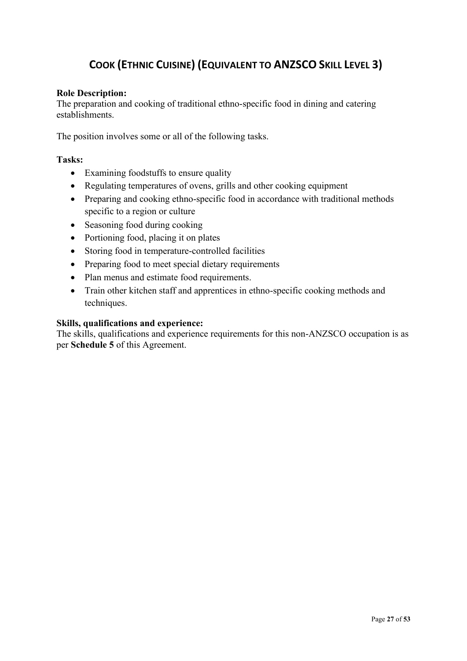### <span id="page-26-0"></span> **COOK (ETHNIC CUISINE) (EQUIVALENT TO ANZSCO SKILL LEVEL 3)**

### **Role Description:**

The preparation and cooking of traditional ethno-specific food in dining and catering establishments.

The position involves some or all of the following tasks.

### **Tasks:**

- Examining foodstuffs to ensure quality
- Regulating temperatures of ovens, grills and other cooking equipment
- Preparing and cooking ethno-specific food in accordance with traditional methods specific to a region or culture
- Seasoning food during cooking
- Portioning food, placing it on plates
- Storing food in temperature-controlled facilities
- Preparing food to meet special dietary requirements
- Plan menus and estimate food requirements.
- Train other kitchen staff and apprentices in ethno-specific cooking methods and techniques.

#### **Skills, qualifications and experience:**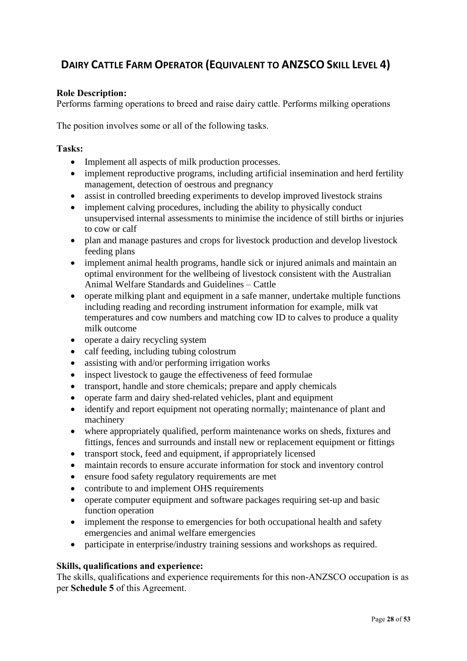### <span id="page-27-0"></span> **DAIRY CATTLE FARM OPERATOR (EQUIVALENT TO ANZSCO SKILL LEVEL 4)**

### **Role Description:**

Performs farming operations to breed and raise dairy cattle. Performs milking operations

The position involves some or all of the following tasks.

### **Tasks:**

- Implement all aspects of milk production processes.
- implement reproductive programs, including artificial insemination and herd fertility management, detection of oestrous and pregnancy
- assist in controlled breeding experiments to develop improved livestock strains
- implement calving procedures, including the ability to physically conduct unsupervised internal assessments to minimise the incidence of still births or injuries to cow or calf
- plan and manage pastures and crops for livestock production and develop livestock feeding plans
- implement animal health programs, handle sick or injured animals and maintain an optimal environment for the wellbeing of livestock consistent with the Australian Animal Welfare Standards and Guidelines – Cattle
- operate milking plant and equipment in a safe manner, undertake multiple functions including reading and recording instrument information for example, milk vat temperatures and cow numbers and matching cow ID to calves to produce a quality milk outcome
- operate a dairy recycling system
- calf feeding, including tubing colostrum
- assisting with and/or performing irrigation works
- inspect livestock to gauge the effectiveness of feed formulae
- transport, handle and store chemicals; prepare and apply chemicals
- operate farm and dairy shed-related vehicles, plant and equipment
- identify and report equipment not operating normally; maintenance of plant and machinery
- where appropriately qualified, perform maintenance works on sheds, fixtures and fittings, fences and surrounds and install new or replacement equipment or fittings
- transport stock, feed and equipment, if appropriately licensed
- maintain records to ensure accurate information for stock and inventory control
- ensure food safety regulatory requirements are met
- contribute to and implement OHS requirements
- operate computer equipment and software packages requiring set-up and basic function operation
- implement the response to emergencies for both occupational health and safety emergencies and animal welfare emergencies
- participate in enterprise/industry training sessions and workshops as required.

### **Skills, qualifications and experience:**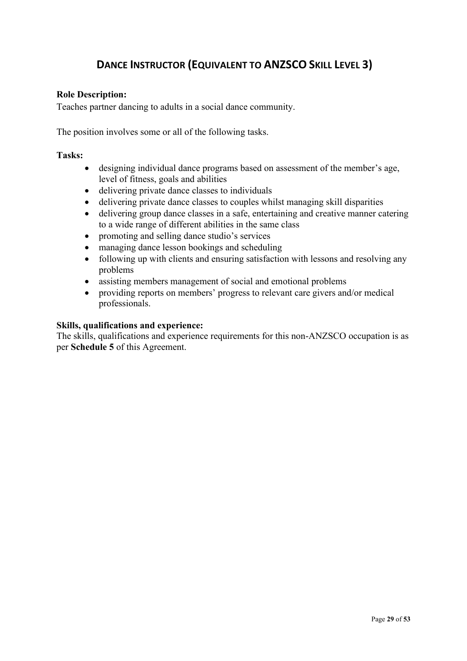### <span id="page-28-0"></span>**DANCE INSTRUCTOR (EQUIVALENT TO ANZSCO SKILL LEVEL 3)**

### **Role Description:**

Teaches partner dancing to adults in a social dance community.

The position involves some or all of the following tasks.

#### **Tasks:**

- designing individual dance programs based on assessment of the member's age, level of fitness, goals and abilities
- delivering private dance classes to individuals
- delivering private dance classes to couples whilst managing skill disparities
- delivering group dance classes in a safe, entertaining and creative manner catering to a wide range of different abilities in the same class
- promoting and selling dance studio's services
- managing dance lesson bookings and scheduling
- following up with clients and ensuring satisfaction with lessons and resolving any problems
- assisting members management of social and emotional problems
- providing reports on members' progress to relevant care givers and/or medical professionals.

### **Skills, qualifications and experience:**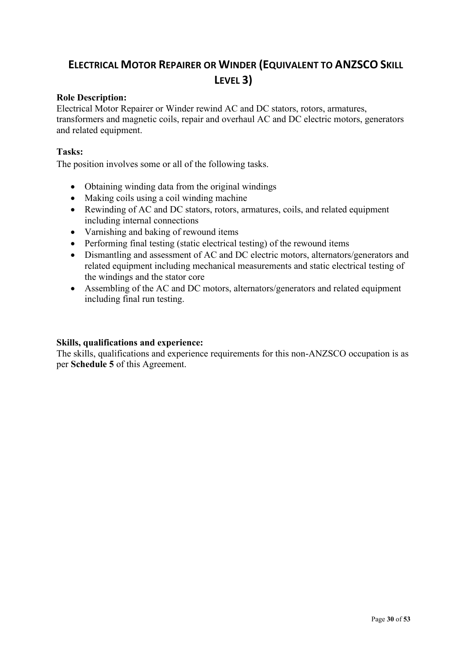### <span id="page-29-0"></span> **ELECTRICAL MOTOR REPAIRER OR WINDER (EQUIVALENT TO ANZSCO SKILL LEVEL 3)**

### **Role Description:**

Electrical Motor Repairer or Winder rewind AC and DC stators, rotors, armatures, transformers and magnetic coils, repair and overhaul AC and DC electric motors, generators and related equipment.

### **Tasks:**

The position involves some or all of the following tasks.

- Obtaining winding data from the original windings
- Making coils using a coil winding machine
- Rewinding of AC and DC stators, rotors, armatures, coils, and related equipment including internal connections
- Varnishing and baking of rewound items
- Performing final testing (static electrical testing) of the rewound items
- Dismantling and assessment of AC and DC electric motors, alternators/generators and related equipment including mechanical measurements and static electrical testing of the windings and the stator core
- Assembling of the AC and DC motors, alternators/generators and related equipment including final run testing.

### **Skills, qualifications and experience:**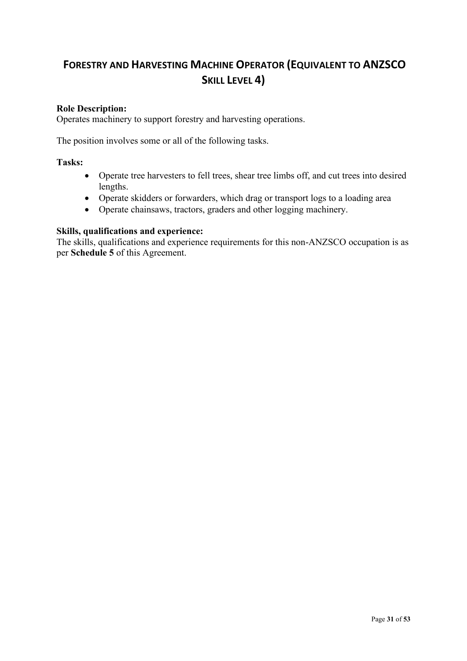### <span id="page-30-0"></span>**FORESTRY AND HARVESTING MACHINE OPERATOR (EQUIVALENT TO ANZSCO SKILL LEVEL 4)**

### **Role Description:**

Operates machinery to support forestry and harvesting operations.

The position involves some or all of the following tasks.

#### **Tasks:**

- Operate tree harvesters to fell trees, shear tree limbs off, and cut trees into desired lengths.
- Operate skidders or forwarders, which drag or transport logs to a loading area
- Operate chainsaws, tractors, graders and other logging machinery.

#### **Skills, qualifications and experience:**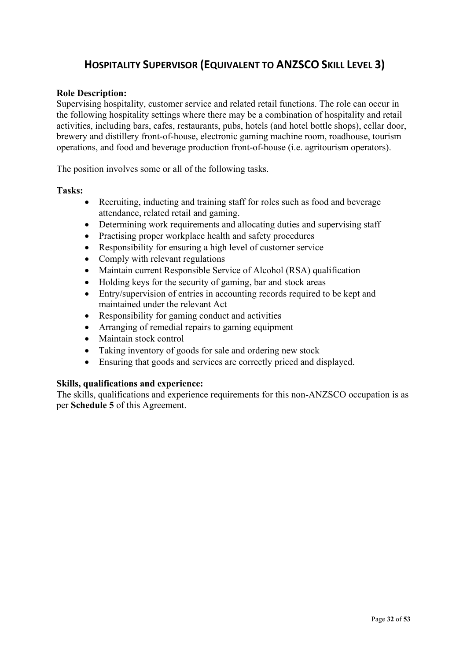### <span id="page-31-0"></span>**HOSPITALITY SUPERVISOR (EQUIVALENT TO ANZSCO SKILL LEVEL 3)**

### **Role Description:**

Supervising hospitality, customer service and related retail functions. The role can occur in the following hospitality settings where there may be a combination of hospitality and retail activities, including bars, cafes, restaurants, pubs, hotels (and hotel bottle shops), cellar door, brewery and distillery front-of-house, electronic gaming machine room, roadhouse, tourism operations, and food and beverage production front-of-house (i.e. agritourism operators).

The position involves some or all of the following tasks.

#### **Tasks:**

- Recruiting, inducting and training staff for roles such as food and beverage attendance, related retail and gaming.
- Determining work requirements and allocating duties and supervising staff
- Practising proper workplace health and safety procedures
- Responsibility for ensuring a high level of customer service
- Comply with relevant regulations
- Maintain current Responsible Service of Alcohol (RSA) qualification
- Holding keys for the security of gaming, bar and stock areas
- Entry/supervision of entries in accounting records required to be kept and maintained under the relevant Act
- Responsibility for gaming conduct and activities
- Arranging of remedial repairs to gaming equipment
- Maintain stock control
- Taking inventory of goods for sale and ordering new stock
- Ensuring that goods and services are correctly priced and displayed.

### **Skills, qualifications and experience:**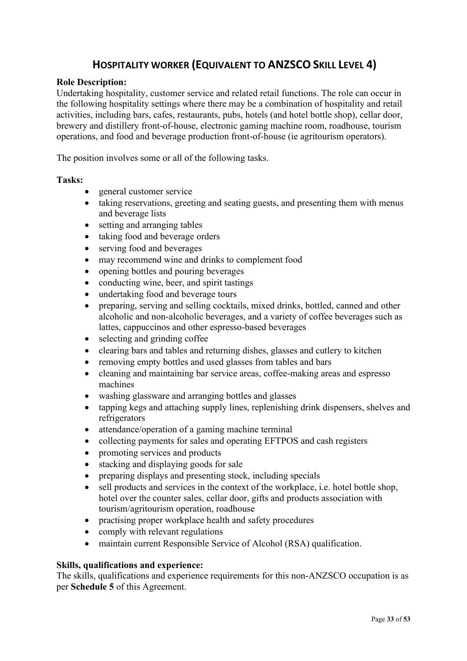### <span id="page-32-0"></span>**HOSPITALITY WORKER (EQUIVALENT TO ANZSCO SKILL LEVEL 4)**

#### **Role Description:**

Undertaking hospitality, customer service and related retail functions. The role can occur in the following hospitality settings where there may be a combination of hospitality and retail activities, including bars, cafes, restaurants, pubs, hotels (and hotel bottle shop), cellar door, brewery and distillery front-of-house, electronic gaming machine room, roadhouse, tourism operations, and food and beverage production front-of-house (ie agritourism operators).

The position involves some or all of the following tasks.

#### **Tasks:**

- general customer service
- taking reservations, greeting and seating guests, and presenting them with menus and beverage lists
- setting and arranging tables
- taking food and beverage orders
- serving food and beverages
- may recommend wine and drinks to complement food
- opening bottles and pouring beverages
- conducting wine, beer, and spirit tastings
- undertaking food and beverage tours
- preparing, serving and selling cocktails, mixed drinks, bottled, canned and other alcoholic and non-alcoholic beverages, and a variety of coffee beverages such as lattes, cappuccinos and other espresso-based beverages
- selecting and grinding coffee
- clearing bars and tables and returning dishes, glasses and cutlery to kitchen
- removing empty bottles and used glasses from tables and bars
- cleaning and maintaining bar service areas, coffee-making areas and espresso machines
- washing glassware and arranging bottles and glasses
- tapping kegs and attaching supply lines, replenishing drink dispensers, shelves and refrigerators
- attendance/operation of a gaming machine terminal
- collecting payments for sales and operating EFTPOS and cash registers
- promoting services and products
- stacking and displaying goods for sale
- preparing displays and presenting stock, including specials
- sell products and services in the context of the workplace, i.e. hotel bottle shop. hotel over the counter sales, cellar door, gifts and products association with tourism/agritourism operation, roadhouse
- practising proper workplace health and safety procedures
- comply with relevant regulations
- maintain current Responsible Service of Alcohol (RSA) qualification.

#### **Skills, qualifications and experience:**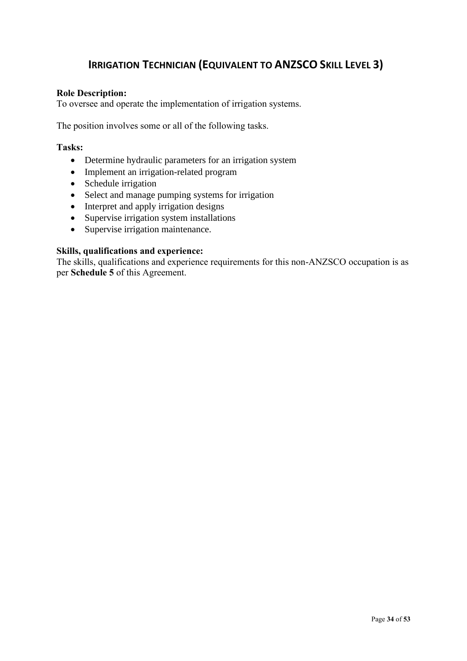### <span id="page-33-0"></span> **IRRIGATION TECHNICIAN (EQUIVALENT TO ANZSCO SKILL LEVEL 3)**

### **Role Description:**

To oversee and operate the implementation of irrigation systems.

The position involves some or all of the following tasks.

### **Tasks:**

- Determine hydraulic parameters for an irrigation system
- Implement an irrigation-related program
- Schedule irrigation
- Select and manage pumping systems for irrigation
- Interpret and apply irrigation designs
- Supervise irrigation system installations
- Supervise irrigation maintenance.

### **Skills, qualifications and experience:**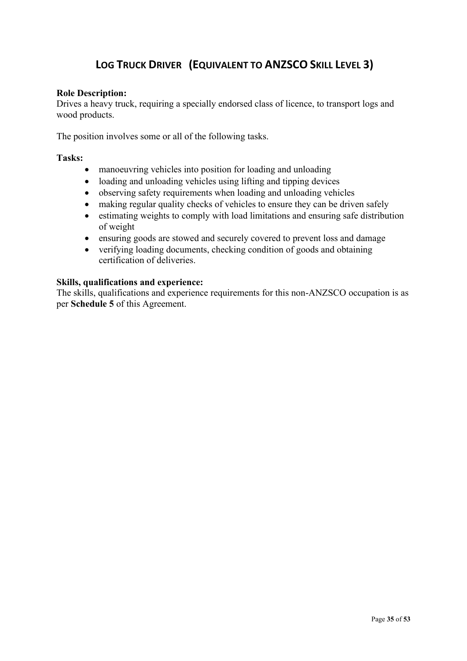### <span id="page-34-0"></span>**LOG TRUCK DRIVER (EQUIVALENT TO ANZSCO SKILL LEVEL 3)**

### **Role Description:**

Drives a heavy truck, requiring a specially endorsed class of licence, to transport logs and wood products.

The position involves some or all of the following tasks.

#### **Tasks:**

- manoeuvring vehicles into position for loading and unloading
- loading and unloading vehicles using lifting and tipping devices
- observing safety requirements when loading and unloading vehicles
- making regular quality checks of vehicles to ensure they can be driven safely
- estimating weights to comply with load limitations and ensuring safe distribution of weight
- ensuring goods are stowed and securely covered to prevent loss and damage
- verifying loading documents, checking condition of goods and obtaining certification of deliveries.

### **Skills, qualifications and experience:**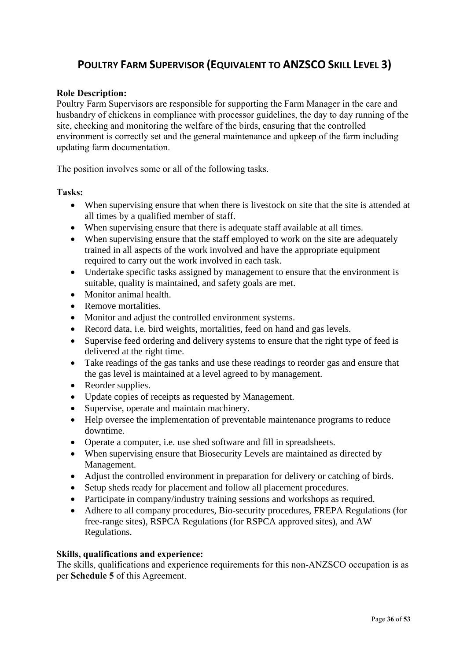### <span id="page-35-0"></span>**POULTRY FARM SUPERVISOR (EQUIVALENT TO ANZSCO SKILL LEVEL 3)**

### **Role Description:**

Poultry Farm Supervisors are responsible for supporting the Farm Manager in the care and husbandry of chickens in compliance with processor guidelines, the day to day running of the site, checking and monitoring the welfare of the birds, ensuring that the controlled environment is correctly set and the general maintenance and upkeep of the farm including updating farm documentation.

The position involves some or all of the following tasks.

#### **Tasks:**

- When supervising ensure that when there is livestock on site that the site is attended at all times by a qualified member of staff.
- When supervising ensure that there is adequate staff available at all times.
- When supervising ensure that the staff employed to work on the site are adequately trained in all aspects of the work involved and have the appropriate equipment required to carry out the work involved in each task.
- Undertake specific tasks assigned by management to ensure that the environment is suitable, quality is maintained, and safety goals are met.
- Monitor animal health.
- Remove mortalities.
- Monitor and adjust the controlled environment systems.
- Record data, i.e. bird weights, mortalities, feed on hand and gas levels.
- Supervise feed ordering and delivery systems to ensure that the right type of feed is delivered at the right time.
- Take readings of the gas tanks and use these readings to reorder gas and ensure that the gas level is maintained at a level agreed to by management.
- Reorder supplies.
- Update copies of receipts as requested by Management.
- Supervise, operate and maintain machinery.
- Help oversee the implementation of preventable maintenance programs to reduce downtime.
- Operate a computer, i.e. use shed software and fill in spreadsheets.
- When supervising ensure that Biosecurity Levels are maintained as directed by Management.
- Adjust the controlled environment in preparation for delivery or catching of birds.
- Setup sheds ready for placement and follow all placement procedures.
- Participate in company/industry training sessions and workshops as required.
- Adhere to all company procedures, Bio-security procedures, FREPA Regulations (for free-range sites), RSPCA Regulations (for RSPCA approved sites), and AW Regulations.

### **Skills, qualifications and experience:**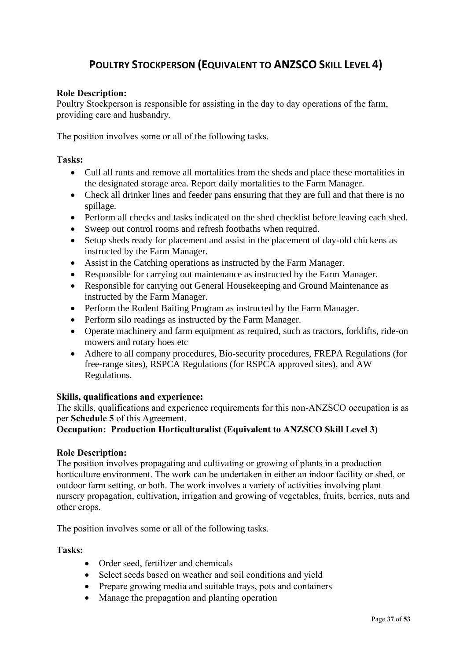### <span id="page-36-0"></span> **POULTRY STOCKPERSON (EQUIVALENT TO ANZSCO SKILL LEVEL 4)**

### **Role Description:**

Poultry Stockperson is responsible for assisting in the day to day operations of the farm, providing care and husbandry.

The position involves some or all of the following tasks.

### **Tasks:**

- Cull all runts and remove all mortalities from the sheds and place these mortalities in the designated storage area. Report daily mortalities to the Farm Manager.
- Check all drinker lines and feeder pans ensuring that they are full and that there is no spillage.
- Perform all checks and tasks indicated on the shed checklist before leaving each shed.
- Sweep out control rooms and refresh footbaths when required.
- Setup sheds ready for placement and assist in the placement of day-old chickens as instructed by the Farm Manager.
- Assist in the Catching operations as instructed by the Farm Manager.
- Responsible for carrying out maintenance as instructed by the Farm Manager.
- Responsible for carrying out General Housekeeping and Ground Maintenance as instructed by the Farm Manager.
- Perform the Rodent Baiting Program as instructed by the Farm Manager.
- Perform silo readings as instructed by the Farm Manager.
- Operate machinery and farm equipment as required, such as tractors, forklifts, ride-on mowers and rotary hoes etc
- Adhere to all company procedures, Bio-security procedures, FREPA Regulations (for free-range sites), RSPCA Regulations (for RSPCA approved sites), and AW Regulations.

### **Skills, qualifications and experience:**

The skills, qualifications and experience requirements for this non-ANZSCO occupation is as per **Schedule 5** of this Agreement.

### **Occupation: Production Horticulturalist (Equivalent to ANZSCO Skill Level 3)**

#### **Role Description:**

The position involves propagating and cultivating or growing of plants in a production horticulture environment. The work can be undertaken in either an indoor facility or shed, or outdoor farm setting, or both. The work involves a variety of activities involving plant nursery propagation, cultivation, irrigation and growing of vegetables, fruits, berries, nuts and other crops.

The position involves some or all of the following tasks.

#### **Tasks:**

- Order seed, fertilizer and chemicals
- Select seeds based on weather and soil conditions and yield
- Prepare growing media and suitable trays, pots and containers
- Manage the propagation and planting operation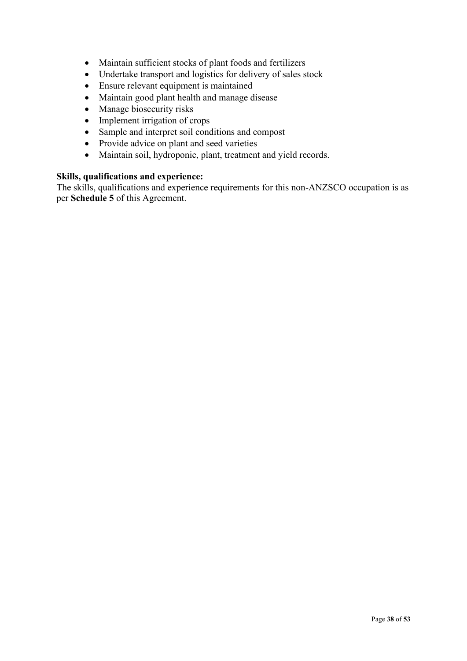- Maintain sufficient stocks of plant foods and fertilizers
- Undertake transport and logistics for delivery of sales stock
- Ensure relevant equipment is maintained
- Maintain good plant health and manage disease
- Manage biosecurity risks
- Implement irrigation of crops
- Sample and interpret soil conditions and compost
- Provide advice on plant and seed varieties
- Maintain soil, hydroponic, plant, treatment and yield records.

### **Skills, qualifications and experience:**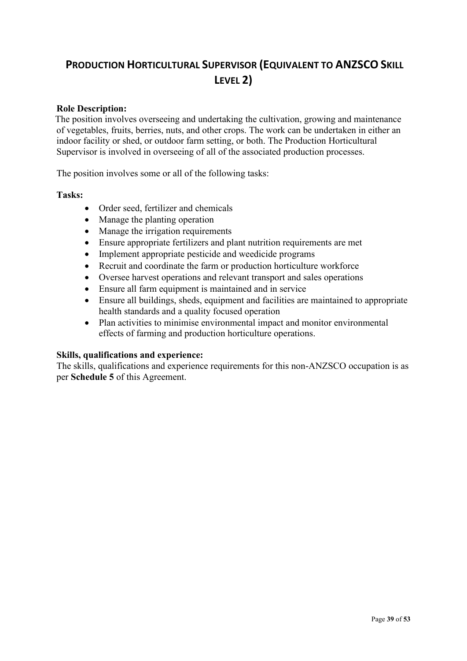### <span id="page-38-0"></span>**PRODUCTION HORTICULTURAL SUPERVISOR (EQUIVALENT TO ANZSCO SKILL LEVEL 2)**

### **Role Description:**

The position involves overseeing and undertaking the cultivation, growing and maintenance of vegetables, fruits, berries, nuts, and other crops. The work can be undertaken in either an indoor facility or shed, or outdoor farm setting, or both. The Production Horticultural Supervisor is involved in overseeing of all of the associated production processes.

The position involves some or all of the following tasks:

#### **Tasks:**

- Order seed, fertilizer and chemicals
- Manage the planting operation
- Manage the irrigation requirements
- Ensure appropriate fertilizers and plant nutrition requirements are met
- Implement appropriate pesticide and weedicide programs
- Recruit and coordinate the farm or production horticulture workforce
- Oversee harvest operations and relevant transport and sales operations
- Ensure all farm equipment is maintained and in service
- Ensure all buildings, sheds, equipment and facilities are maintained to appropriate health standards and a quality focused operation
- Plan activities to minimise environmental impact and monitor environmental effects of farming and production horticulture operations.

### **Skills, qualifications and experience:**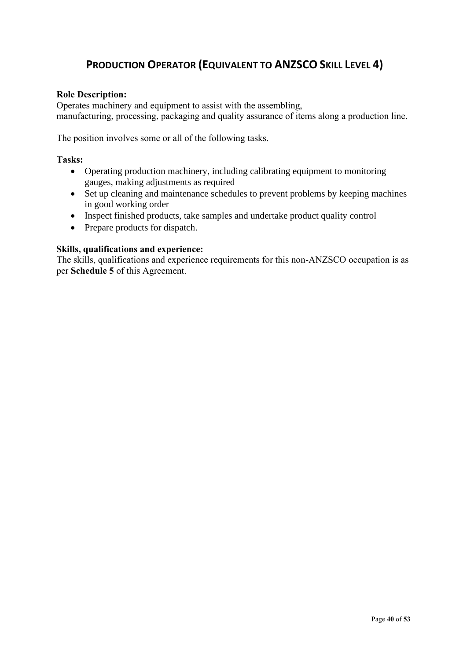### <span id="page-39-0"></span>**PRODUCTION OPERATOR (EQUIVALENT TO ANZSCO SKILL LEVEL 4)**

### **Role Description:**

Operates machinery and equipment to assist with the assembling, manufacturing, processing, packaging and quality assurance of items along a production line.

The position involves some or all of the following tasks.

#### **Tasks:**

- Operating production machinery, including calibrating equipment to monitoring gauges, making adjustments as required
- Set up cleaning and maintenance schedules to prevent problems by keeping machines in good working order
- Inspect finished products, take samples and undertake product quality control
- Prepare products for dispatch.

#### **Skills, qualifications and experience:**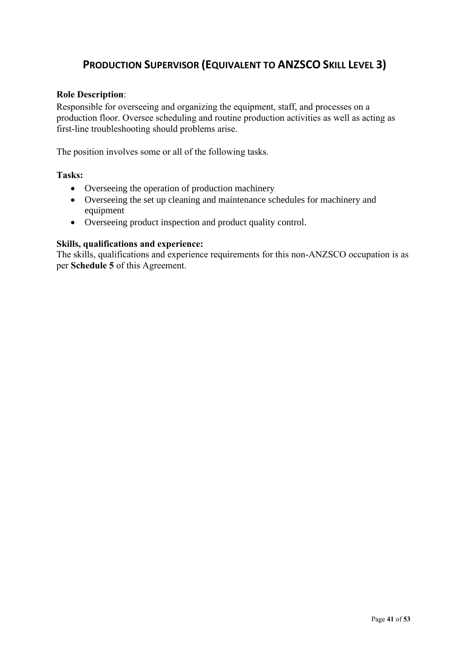### <span id="page-40-0"></span>**PRODUCTION SUPERVISOR (EQUIVALENT TO ANZSCO SKILL LEVEL 3)**

### **Role Description**:

Responsible for overseeing and organizing the equipment, staff, and processes on a production floor. Oversee scheduling and routine production activities as well as acting as first-line troubleshooting should problems arise.

The position involves some or all of the following tasks.

### **Tasks:**

- Overseeing the operation of production machinery
- Overseeing the set up cleaning and maintenance schedules for machinery and equipment
- Overseeing product inspection and product quality control.

### **Skills, qualifications and experience:**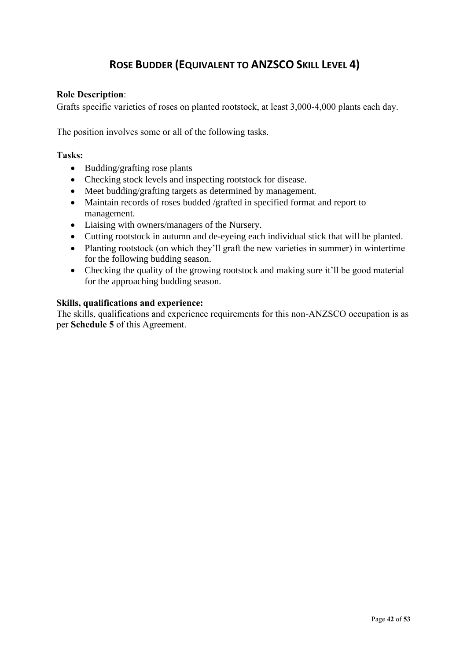### <span id="page-41-0"></span>**ROSE BUDDER (EQUIVALENT TO ANZSCO SKILL LEVEL 4)**

### **Role Description**:

Grafts specific varieties of roses on planted rootstock, at least 3,000-4,000 plants each day.

The position involves some or all of the following tasks.

### **Tasks:**

- Budding/grafting rose plants
- Checking stock levels and inspecting rootstock for disease.
- Meet budding/grafting targets as determined by management.
- Maintain records of roses budded /grafted in specified format and report to management.
- Liaising with owners/managers of the Nursery.
- Cutting rootstock in autumn and de-eyeing each individual stick that will be planted.
- Planting rootstock (on which they'll graft the new varieties in summer) in wintertime for the following budding season.
- Checking the quality of the growing rootstock and making sure it'll be good material for the approaching budding season.

#### **Skills, qualifications and experience:**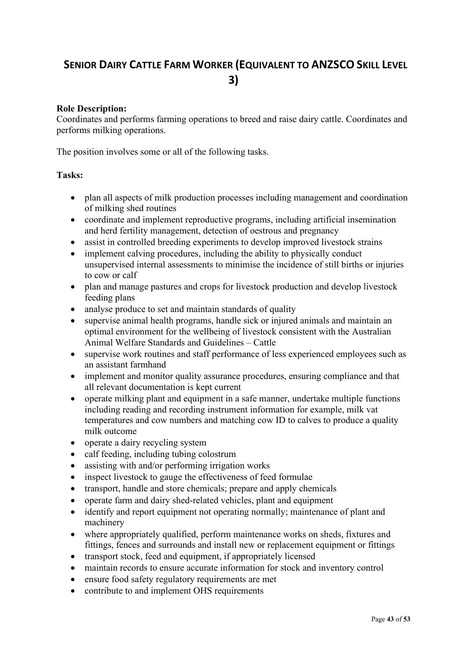### <span id="page-42-0"></span> **SENIOR DAIRY CATTLE FARM WORKER (EQUIVALENT TO ANZSCO SKILL LEVEL 3)**

### **Role Description:**

Coordinates and performs farming operations to breed and raise dairy cattle. Coordinates and performs milking operations.

The position involves some or all of the following tasks.

#### **Tasks:**

- plan all aspects of milk production processes including management and coordination of milking shed routines
- coordinate and implement reproductive programs, including artificial insemination and herd fertility management, detection of oestrous and pregnancy
- assist in controlled breeding experiments to develop improved livestock strains
- implement calving procedures, including the ability to physically conduct unsupervised internal assessments to minimise the incidence of still births or injuries to cow or calf
- plan and manage pastures and crops for livestock production and develop livestock feeding plans
- analyse produce to set and maintain standards of quality
- supervise animal health programs, handle sick or injured animals and maintain an optimal environment for the wellbeing of livestock consistent with the Australian Animal Welfare Standards and Guidelines – Cattle
- supervise work routines and staff performance of less experienced employees such as an assistant farmhand
- implement and monitor quality assurance procedures, ensuring compliance and that all relevant documentation is kept current
- operate milking plant and equipment in a safe manner, undertake multiple functions including reading and recording instrument information for example, milk vat temperatures and cow numbers and matching cow ID to calves to produce a quality milk outcome
- operate a dairy recycling system
- calf feeding, including tubing colostrum
- assisting with and/or performing irrigation works
- inspect livestock to gauge the effectiveness of feed formulae
- transport, handle and store chemicals; prepare and apply chemicals
- operate farm and dairy shed-related vehicles, plant and equipment
- identify and report equipment not operating normally; maintenance of plant and machinery
- where appropriately qualified, perform maintenance works on sheds, fixtures and fittings, fences and surrounds and install new or replacement equipment or fittings
- transport stock, feed and equipment, if appropriately licensed
- maintain records to ensure accurate information for stock and inventory control
- ensure food safety regulatory requirements are met
- contribute to and implement OHS requirements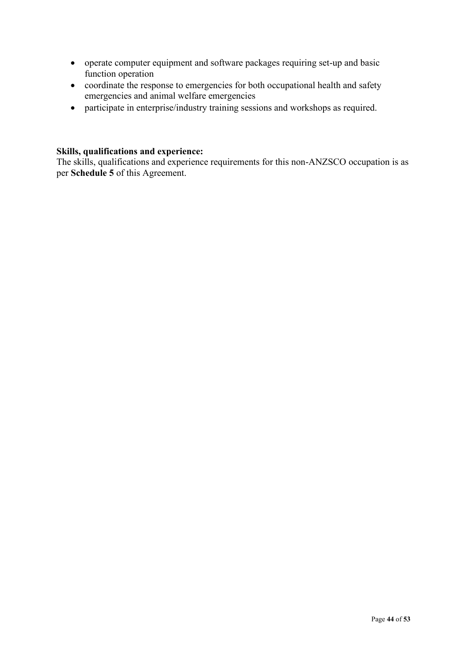- operate computer equipment and software packages requiring set-up and basic function operation
- coordinate the response to emergencies for both occupational health and safety emergencies and animal welfare emergencies
- participate in enterprise/industry training sessions and workshops as required.

### **Skills, qualifications and experience:**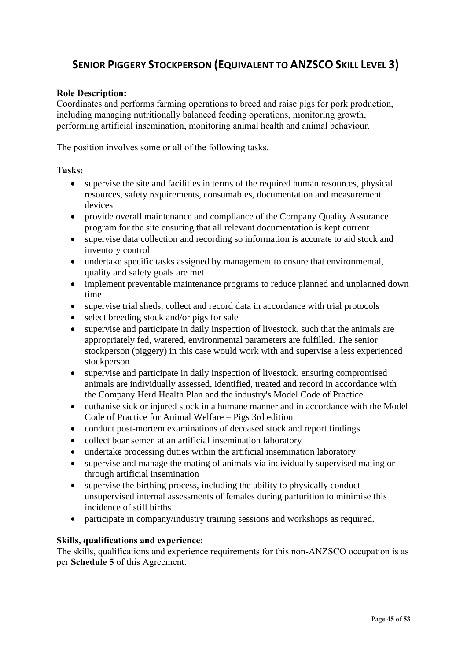### <span id="page-44-0"></span> **SENIOR PIGGERY STOCKPERSON (EQUIVALENT TO ANZSCO SKILL LEVEL 3)**

### **Role Description:**

Coordinates and performs farming operations to breed and raise pigs for pork production, including managing nutritionally balanced feeding operations, monitoring growth, performing artificial insemination, monitoring animal health and animal behaviour.

The position involves some or all of the following tasks.

### **Tasks:**

- supervise the site and facilities in terms of the required human resources, physical resources, safety requirements, consumables, documentation and measurement devices
- provide overall maintenance and compliance of the Company Quality Assurance program for the site ensuring that all relevant documentation is kept current
- supervise data collection and recording so information is accurate to aid stock and inventory control
- undertake specific tasks assigned by management to ensure that environmental, quality and safety goals are met
- implement preventable maintenance programs to reduce planned and unplanned down time
- supervise trial sheds, collect and record data in accordance with trial protocols
- select breeding stock and/or pigs for sale
- supervise and participate in daily inspection of livestock, such that the animals are appropriately fed, watered, environmental parameters are fulfilled. The senior stockperson (piggery) in this case would work with and supervise a less experienced stockperson
- supervise and participate in daily inspection of livestock, ensuring compromised animals are individually assessed, identified, treated and record in accordance with the Company Herd Health Plan and the industry's Model Code of Practice
- euthanise sick or injured stock in a humane manner and in accordance with the Model Code of Practice for Animal Welfare – Pigs 3rd edition
- conduct post-mortem examinations of deceased stock and report findings
- collect boar semen at an artificial insemination laboratory
- undertake processing duties within the artificial insemination laboratory
- supervise and manage the mating of animals via individually supervised mating or through artificial insemination
- supervise the birthing process, including the ability to physically conduct unsupervised internal assessments of females during parturition to minimise this incidence of still births
- participate in company/industry training sessions and workshops as required.

### **Skills, qualifications and experience:**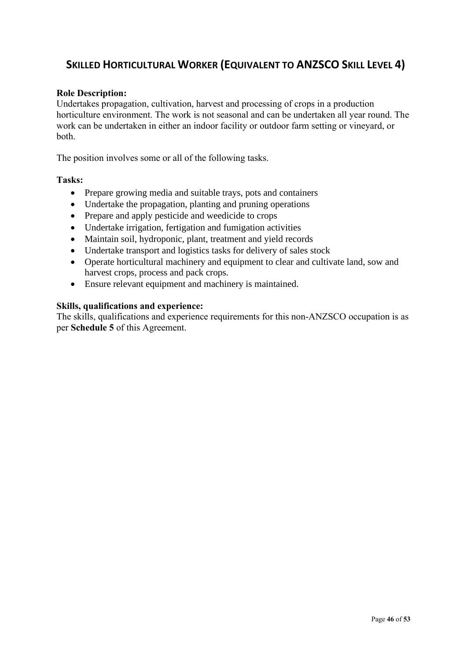### <span id="page-45-0"></span> **SKILLED HORTICULTURAL WORKER (EQUIVALENT TO ANZSCO SKILL LEVEL 4)**

### **Role Description:**

Undertakes propagation, cultivation, harvest and processing of crops in a production horticulture environment. The work is not seasonal and can be undertaken all year round. The work can be undertaken in either an indoor facility or outdoor farm setting or vineyard, or both.

The position involves some or all of the following tasks.

#### **Tasks:**

- Prepare growing media and suitable trays, pots and containers
- Undertake the propagation, planting and pruning operations
- Prepare and apply pesticide and weedicide to crops
- Undertake irrigation, fertigation and fumigation activities
- Maintain soil, hydroponic, plant, treatment and yield records
- Undertake transport and logistics tasks for delivery of sales stock
- Operate horticultural machinery and equipment to clear and cultivate land, sow and harvest crops, process and pack crops.
- Ensure relevant equipment and machinery is maintained.

#### **Skills, qualifications and experience:**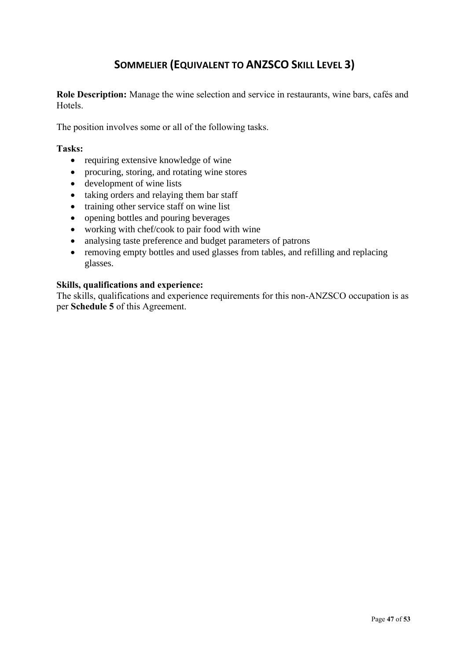### <span id="page-46-0"></span>**SOMMELIER (EQUIVALENT TO ANZSCO SKILL LEVEL 3)**

**Role Description:** Manage the wine selection and service in restaurants, wine bars, cafés and Hotels.

The position involves some or all of the following tasks.

#### **Tasks:**

- requiring extensive knowledge of wine
- procuring, storing, and rotating wine stores
- development of wine lists
- taking orders and relaying them bar staff
- training other service staff on wine list
- opening bottles and pouring beverages
- working with chef/cook to pair food with wine
- analysing taste preference and budget parameters of patrons
- removing empty bottles and used glasses from tables, and refilling and replacing glasses.

#### **Skills, qualifications and experience:**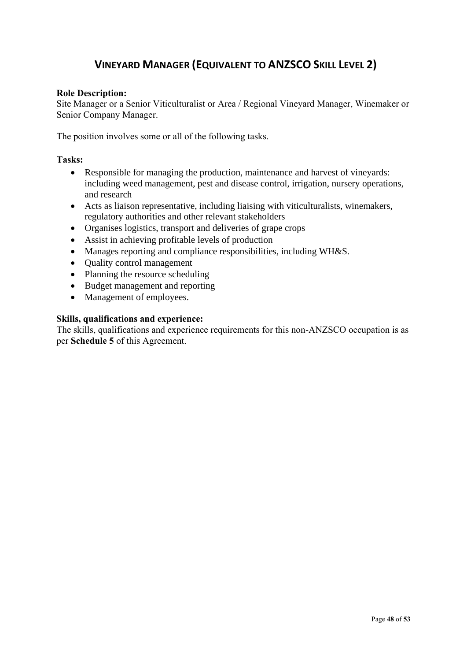### <span id="page-47-0"></span> **VINEYARD MANAGER (EQUIVALENT TO ANZSCO SKILL LEVEL 2)**

### **Role Description:**

Site Manager or a Senior Viticulturalist or Area / Regional Vineyard Manager, Winemaker or Senior Company Manager.

The position involves some or all of the following tasks.

### **Tasks:**

- Responsible for managing the production, maintenance and harvest of vineyards: including weed management, pest and disease control, irrigation, nursery operations, and research
- Acts as liaison representative, including liaising with viticulturalists, winemakers, regulatory authorities and other relevant stakeholders
- Organises logistics, transport and deliveries of grape crops
- Assist in achieving profitable levels of production
- Manages reporting and compliance responsibilities, including WH&S.
- Ouality control management
- Planning the resource scheduling
- Budget management and reporting
- Management of employees.

#### **Skills, qualifications and experience:**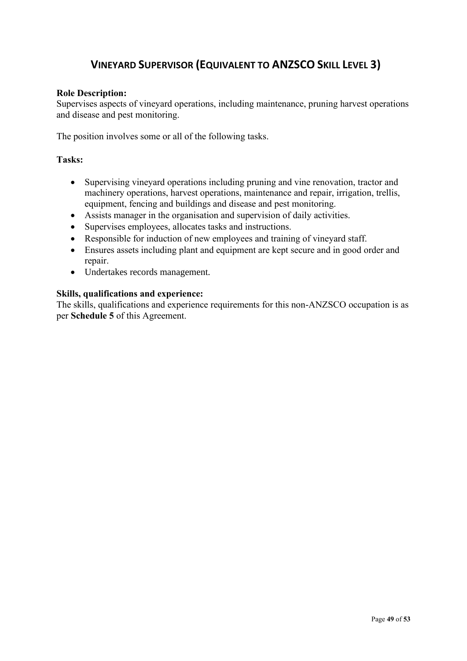### <span id="page-48-0"></span> **VINEYARD SUPERVISOR (EQUIVALENT TO ANZSCO SKILL LEVEL 3)**

### **Role Description:**

Supervises aspects of vineyard operations, including maintenance, pruning harvest operations and disease and pest monitoring.

The position involves some or all of the following tasks.

### **Tasks:**

- Supervising vineyard operations including pruning and vine renovation, tractor and machinery operations, harvest operations, maintenance and repair, irrigation, trellis, equipment, fencing and buildings and disease and pest monitoring.
- Assists manager in the organisation and supervision of daily activities.
- Supervises employees, allocates tasks and instructions.
- Responsible for induction of new employees and training of vineyard staff.
- Ensures assets including plant and equipment are kept secure and in good order and repair.
- Undertakes records management.

### **Skills, qualifications and experience:**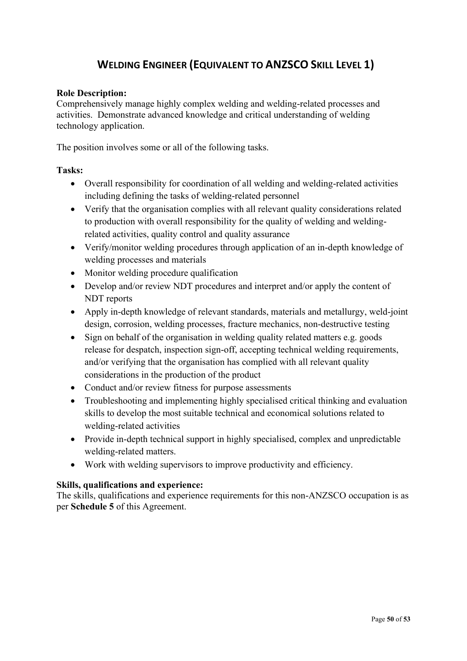### <span id="page-49-0"></span> **WELDING ENGINEER (EQUIVALENT TO ANZSCO SKILL LEVEL 1)**

### **Role Description:**

Comprehensively manage highly complex welding and welding-related processes and activities. Demonstrate advanced knowledge and critical understanding of welding technology application.

The position involves some or all of the following tasks.

### **Tasks:**

- Overall responsibility for coordination of all welding and welding-related activities including defining the tasks of welding-related personnel
- Verify that the organisation complies with all relevant quality considerations related to production with overall responsibility for the quality of welding and weldingrelated activities, quality control and quality assurance
- Verify/monitor welding procedures through application of an in-depth knowledge of welding processes and materials
- Monitor welding procedure qualification
- Develop and/or review NDT procedures and interpret and/or apply the content of NDT reports
- Apply in-depth knowledge of relevant standards, materials and metallurgy, weld-joint design, corrosion, welding processes, fracture mechanics, non-destructive testing
- Sign on behalf of the organisation in welding quality related matters e.g. goods release for despatch, inspection sign-off, accepting technical welding requirements, and/or verifying that the organisation has complied with all relevant quality considerations in the production of the product
- Conduct and/or review fitness for purpose assessments
- Troubleshooting and implementing highly specialised critical thinking and evaluation skills to develop the most suitable technical and economical solutions related to welding-related activities
- Provide in-depth technical support in highly specialised, complex and unpredictable welding-related matters.
- Work with welding supervisors to improve productivity and efficiency.

### **Skills, qualifications and experience:**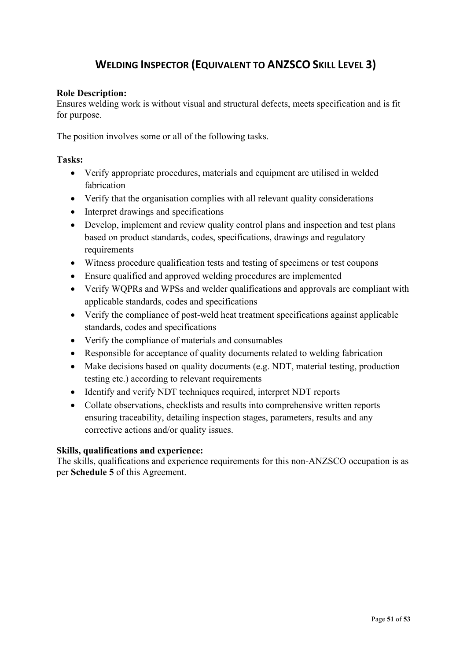### <span id="page-50-0"></span> **WELDING INSPECTOR (EQUIVALENT TO ANZSCO SKILL LEVEL 3)**

### **Role Description:**

Ensures welding work is without visual and structural defects, meets specification and is fit for purpose.

The position involves some or all of the following tasks.

### **Tasks:**

- Verify appropriate procedures, materials and equipment are utilised in welded fabrication
- Verify that the organisation complies with all relevant quality considerations
- Interpret drawings and specifications
- Develop, implement and review quality control plans and inspection and test plans based on product standards, codes, specifications, drawings and regulatory requirements
- Witness procedure qualification tests and testing of specimens or test coupons
- Ensure qualified and approved welding procedures are implemented
- Verify WQPRs and WPSs and welder qualifications and approvals are compliant with applicable standards, codes and specifications
- Verify the compliance of post-weld heat treatment specifications against applicable standards, codes and specifications
- Verify the compliance of materials and consumables
- Responsible for acceptance of quality documents related to welding fabrication
- Make decisions based on quality documents (e.g. NDT, material testing, production testing etc.) according to relevant requirements
- Identify and verify NDT techniques required, interpret NDT reports
- Collate observations, checklists and results into comprehensive written reports ensuring traceability, detailing inspection stages, parameters, results and any corrective actions and/or quality issues.

### **Skills, qualifications and experience:**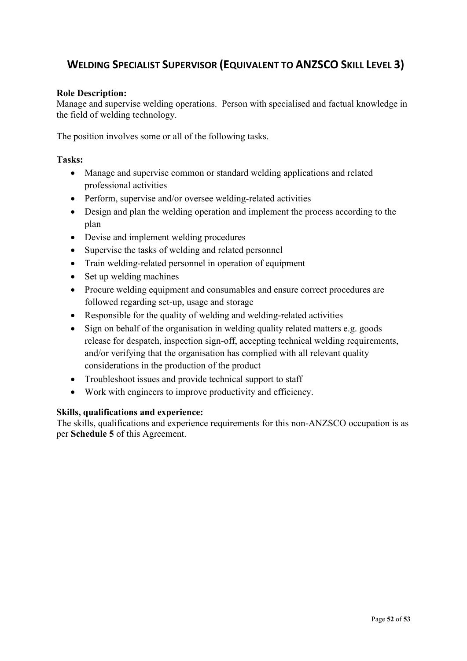### <span id="page-51-0"></span> **WELDING SPECIALIST SUPERVISOR (EQUIVALENT TO ANZSCO SKILL LEVEL 3)**

### **Role Description:**

Manage and supervise welding operations. Person with specialised and factual knowledge in the field of welding technology.

The position involves some or all of the following tasks.

### **Tasks:**

- Manage and supervise common or standard welding applications and related professional activities
- Perform, supervise and/or oversee welding-related activities
- Design and plan the welding operation and implement the process according to the plan
- Devise and implement welding procedures
- Supervise the tasks of welding and related personnel
- Train welding-related personnel in operation of equipment
- Set up welding machines
- Procure welding equipment and consumables and ensure correct procedures are followed regarding set-up, usage and storage
- Responsible for the quality of welding and welding-related activities
- Sign on behalf of the organisation in welding quality related matters e.g. goods release for despatch, inspection sign-off, accepting technical welding requirements, and/or verifying that the organisation has complied with all relevant quality considerations in the production of the product
- Troubleshoot issues and provide technical support to staff
- Work with engineers to improve productivity and efficiency.

### **Skills, qualifications and experience:**